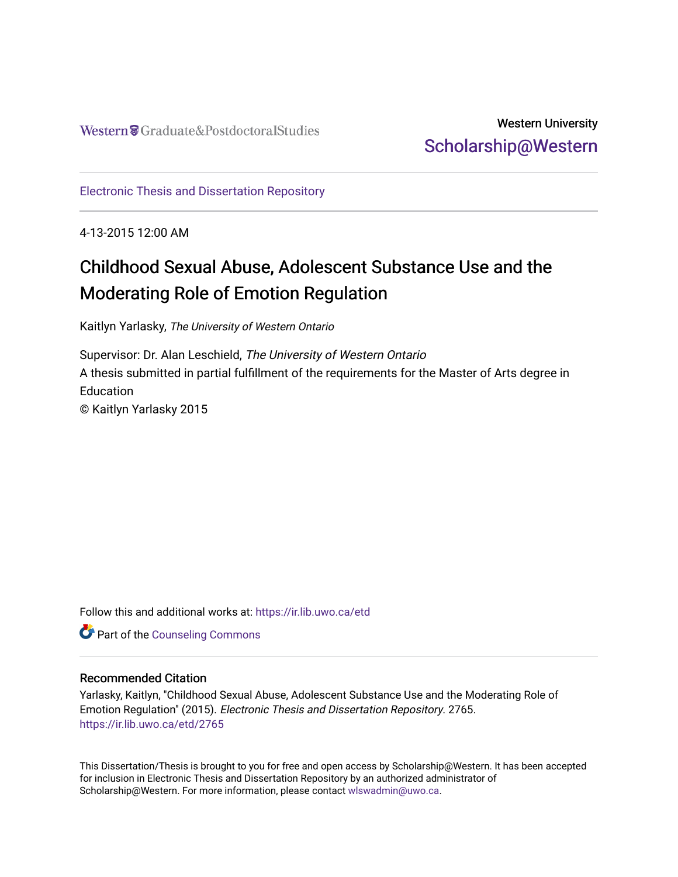# Western University [Scholarship@Western](https://ir.lib.uwo.ca/)

[Electronic Thesis and Dissertation Repository](https://ir.lib.uwo.ca/etd)

4-13-2015 12:00 AM

# Childhood Sexual Abuse, Adolescent Substance Use and the Moderating Role of Emotion Regulation

Kaitlyn Yarlasky, The University of Western Ontario

Supervisor: Dr. Alan Leschield, The University of Western Ontario A thesis submitted in partial fulfillment of the requirements for the Master of Arts degree in **Education** © Kaitlyn Yarlasky 2015

Follow this and additional works at: [https://ir.lib.uwo.ca/etd](https://ir.lib.uwo.ca/etd?utm_source=ir.lib.uwo.ca%2Fetd%2F2765&utm_medium=PDF&utm_campaign=PDFCoverPages) 

**Part of the Counseling Commons** 

### Recommended Citation

Yarlasky, Kaitlyn, "Childhood Sexual Abuse, Adolescent Substance Use and the Moderating Role of Emotion Regulation" (2015). Electronic Thesis and Dissertation Repository. 2765. [https://ir.lib.uwo.ca/etd/2765](https://ir.lib.uwo.ca/etd/2765?utm_source=ir.lib.uwo.ca%2Fetd%2F2765&utm_medium=PDF&utm_campaign=PDFCoverPages)

This Dissertation/Thesis is brought to you for free and open access by Scholarship@Western. It has been accepted for inclusion in Electronic Thesis and Dissertation Repository by an authorized administrator of Scholarship@Western. For more information, please contact [wlswadmin@uwo.ca.](mailto:wlswadmin@uwo.ca)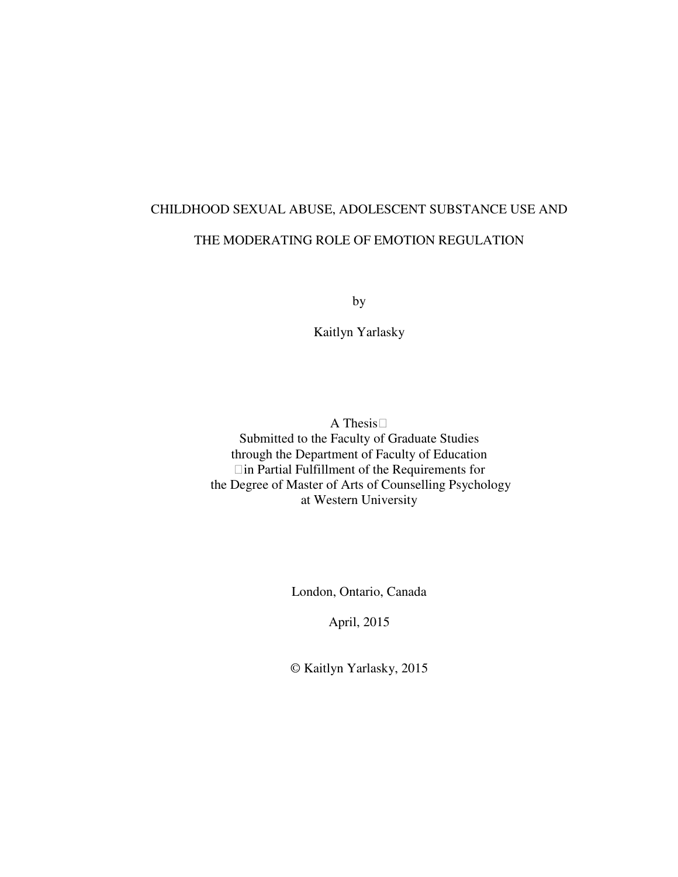# CHILDHOOD SEXUAL ABUSE, ADOLESCENT SUBSTANCE USE AND THE MODERATING ROLE OF EMOTION REGULATION

by

Kaitlyn Yarlasky

A Thesis Submitted to the Faculty of Graduate Studies through the Department of Faculty of Education in Partial Fulfillment of the Requirements for the Degree of Master of Arts of Counselling Psychology at Western University

London, Ontario, Canada

April, 2015

© Kaitlyn Yarlasky, 2015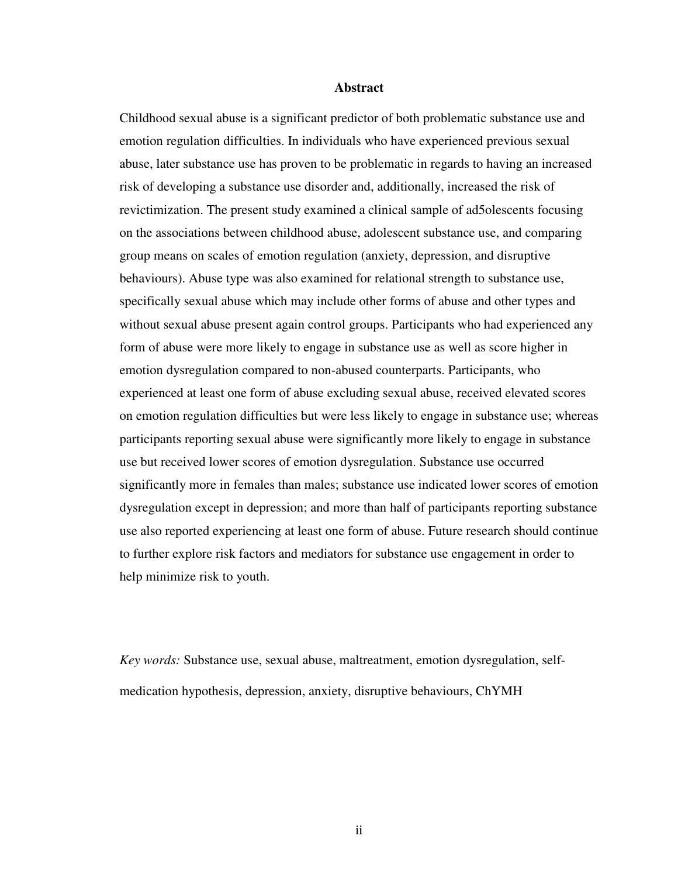#### **Abstract**

Childhood sexual abuse is a significant predictor of both problematic substance use and emotion regulation difficulties. In individuals who have experienced previous sexual abuse, later substance use has proven to be problematic in regards to having an increased risk of developing a substance use disorder and, additionally, increased the risk of revictimization. The present study examined a clinical sample of ad5olescents focusing on the associations between childhood abuse, adolescent substance use, and comparing group means on scales of emotion regulation (anxiety, depression, and disruptive behaviours). Abuse type was also examined for relational strength to substance use, specifically sexual abuse which may include other forms of abuse and other types and without sexual abuse present again control groups. Participants who had experienced any form of abuse were more likely to engage in substance use as well as score higher in emotion dysregulation compared to non-abused counterparts. Participants, who experienced at least one form of abuse excluding sexual abuse, received elevated scores on emotion regulation difficulties but were less likely to engage in substance use; whereas participants reporting sexual abuse were significantly more likely to engage in substance use but received lower scores of emotion dysregulation. Substance use occurred significantly more in females than males; substance use indicated lower scores of emotion dysregulation except in depression; and more than half of participants reporting substance use also reported experiencing at least one form of abuse. Future research should continue to further explore risk factors and mediators for substance use engagement in order to help minimize risk to youth.

*Key words:* Substance use, sexual abuse, maltreatment, emotion dysregulation, selfmedication hypothesis, depression, anxiety, disruptive behaviours, ChYMH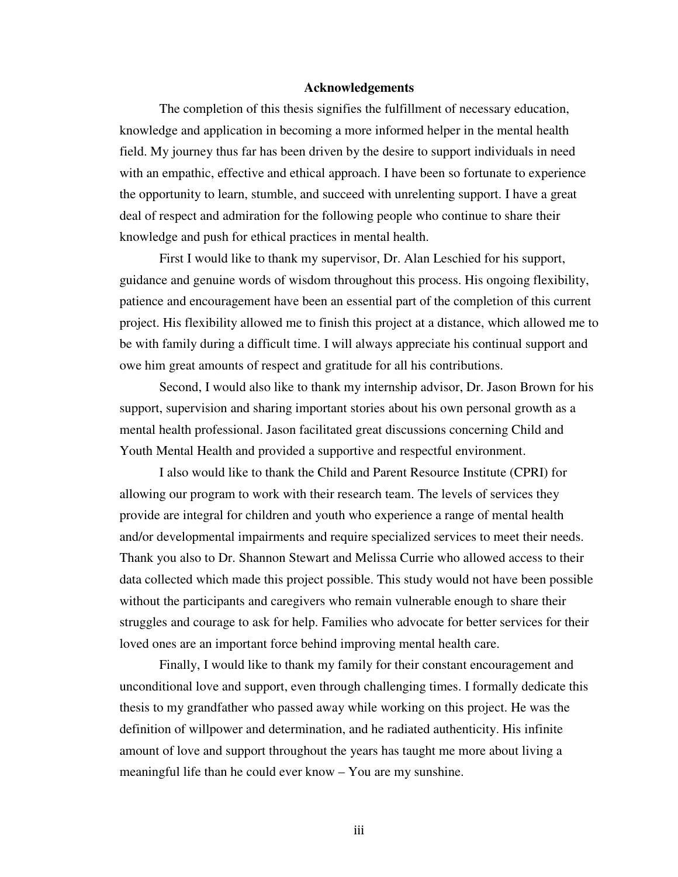#### **Acknowledgements**

The completion of this thesis signifies the fulfillment of necessary education, knowledge and application in becoming a more informed helper in the mental health field. My journey thus far has been driven by the desire to support individuals in need with an empathic, effective and ethical approach. I have been so fortunate to experience the opportunity to learn, stumble, and succeed with unrelenting support. I have a great deal of respect and admiration for the following people who continue to share their knowledge and push for ethical practices in mental health.

First I would like to thank my supervisor, Dr. Alan Leschied for his support, guidance and genuine words of wisdom throughout this process. His ongoing flexibility, patience and encouragement have been an essential part of the completion of this current project. His flexibility allowed me to finish this project at a distance, which allowed me to be with family during a difficult time. I will always appreciate his continual support and owe him great amounts of respect and gratitude for all his contributions.

Second, I would also like to thank my internship advisor, Dr. Jason Brown for his support, supervision and sharing important stories about his own personal growth as a mental health professional. Jason facilitated great discussions concerning Child and Youth Mental Health and provided a supportive and respectful environment.

I also would like to thank the Child and Parent Resource Institute (CPRI) for allowing our program to work with their research team. The levels of services they provide are integral for children and youth who experience a range of mental health and/or developmental impairments and require specialized services to meet their needs. Thank you also to Dr. Shannon Stewart and Melissa Currie who allowed access to their data collected which made this project possible. This study would not have been possible without the participants and caregivers who remain vulnerable enough to share their struggles and courage to ask for help. Families who advocate for better services for their loved ones are an important force behind improving mental health care.

Finally, I would like to thank my family for their constant encouragement and unconditional love and support, even through challenging times. I formally dedicate this thesis to my grandfather who passed away while working on this project. He was the definition of willpower and determination, and he radiated authenticity. His infinite amount of love and support throughout the years has taught me more about living a meaningful life than he could ever know – You are my sunshine.

iii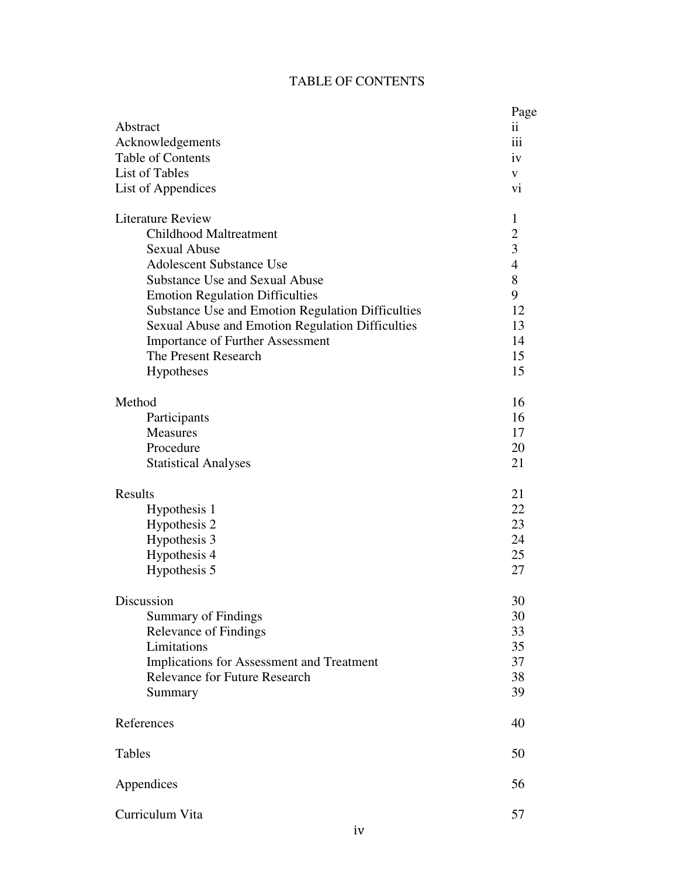# TABLE OF CONTENTS

| Abstract<br>Acknowledgements<br>Table of Contents<br><b>List of Tables</b><br>List of Appendices                                                                                                                                                                                                                                                                                                        | Page<br>$\ddot{\mathbf{i}}$<br>iii<br>iv<br>V<br>vi                                |
|---------------------------------------------------------------------------------------------------------------------------------------------------------------------------------------------------------------------------------------------------------------------------------------------------------------------------------------------------------------------------------------------------------|------------------------------------------------------------------------------------|
| <b>Literature Review</b><br><b>Childhood Maltreatment</b><br><b>Sexual Abuse</b><br><b>Adolescent Substance Use</b><br><b>Substance Use and Sexual Abuse</b><br><b>Emotion Regulation Difficulties</b><br><b>Substance Use and Emotion Regulation Difficulties</b><br>Sexual Abuse and Emotion Regulation Difficulties<br><b>Importance of Further Assessment</b><br>The Present Research<br>Hypotheses | 1<br>$\overline{c}$<br>3<br>$\overline{4}$<br>8<br>9<br>12<br>13<br>14<br>15<br>15 |
| Method<br>Participants<br><b>Measures</b><br>Procedure<br><b>Statistical Analyses</b>                                                                                                                                                                                                                                                                                                                   | 16<br>16<br>17<br>20<br>21                                                         |
| <b>Results</b><br>Hypothesis 1<br>Hypothesis 2<br>Hypothesis 3<br>Hypothesis 4<br>Hypothesis 5                                                                                                                                                                                                                                                                                                          | 21<br>22<br>23<br>24<br>25<br>27                                                   |
| Discussion<br><b>Summary of Findings</b><br><b>Relevance of Findings</b><br>Limitations<br>Implications for Assessment and Treatment<br><b>Relevance for Future Research</b><br>Summary                                                                                                                                                                                                                 | 30<br>30<br>33<br>35<br>37<br>38<br>39                                             |
| References                                                                                                                                                                                                                                                                                                                                                                                              | 40                                                                                 |
| Tables                                                                                                                                                                                                                                                                                                                                                                                                  | 50                                                                                 |
| Appendices                                                                                                                                                                                                                                                                                                                                                                                              | 56                                                                                 |
| Curriculum Vita                                                                                                                                                                                                                                                                                                                                                                                         | 57                                                                                 |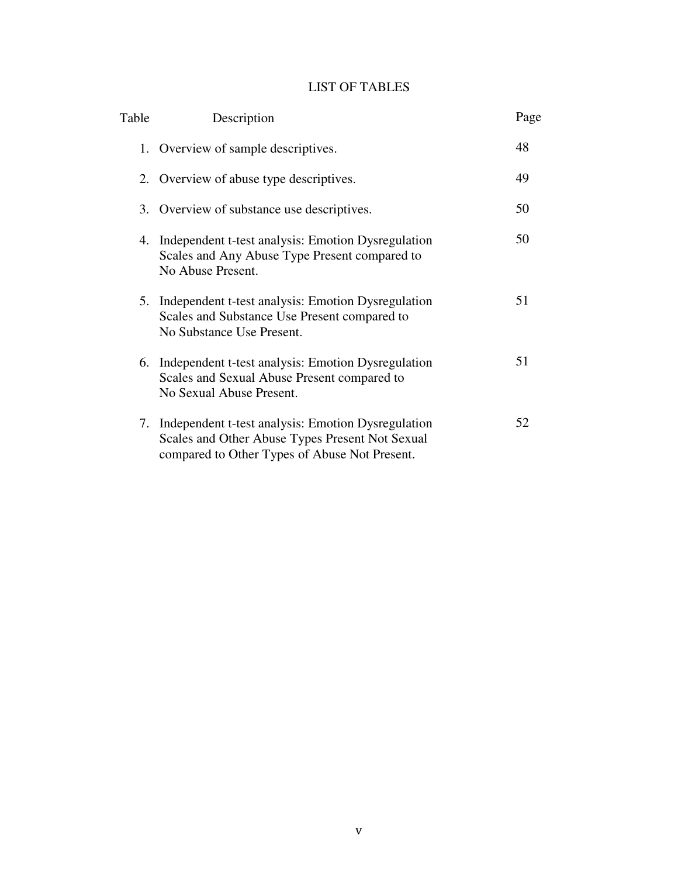# LIST OF TABLES

| Table | Description                                                                                                                                            | Page |
|-------|--------------------------------------------------------------------------------------------------------------------------------------------------------|------|
|       | 1. Overview of sample descriptives.                                                                                                                    | 48   |
|       | 2. Overview of abuse type descriptives.                                                                                                                | 49   |
|       | 3. Overview of substance use descriptives.                                                                                                             | 50   |
| 4.    | Independent t-test analysis: Emotion Dysregulation<br>Scales and Any Abuse Type Present compared to<br>No Abuse Present.                               | 50   |
| 5.    | Independent t-test analysis: Emotion Dysregulation<br>Scales and Substance Use Present compared to<br>No Substance Use Present.                        | 51   |
|       | 6. Independent t-test analysis: Emotion Dysregulation<br>Scales and Sexual Abuse Present compared to<br>No Sexual Abuse Present.                       | 51   |
| 7.    | Independent t-test analysis: Emotion Dysregulation<br>Scales and Other Abuse Types Present Not Sexual<br>compared to Other Types of Abuse Not Present. | 52   |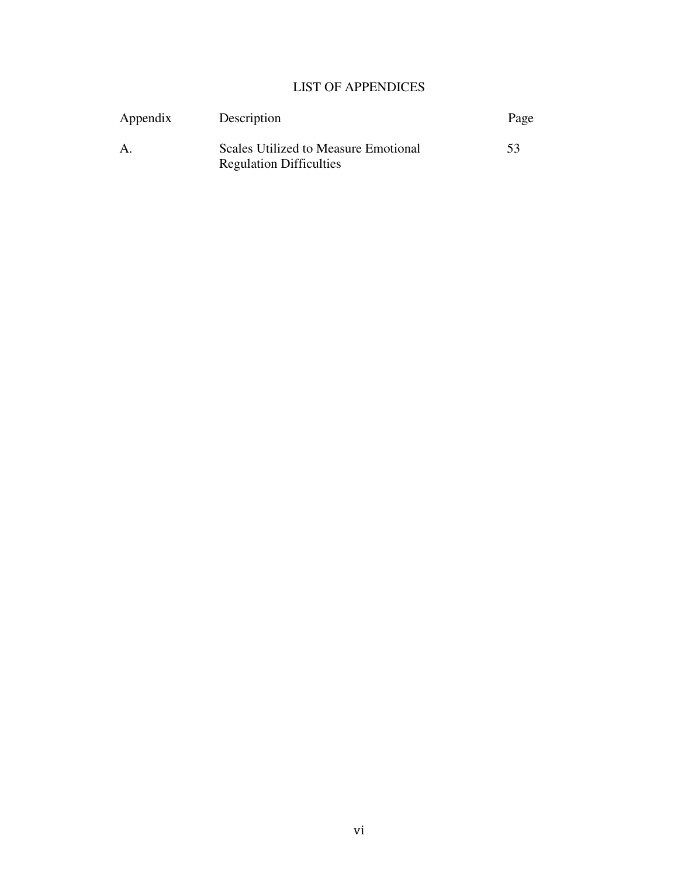# LIST OF APPENDICES

| Appendix     | Description                                                            | Page |
|--------------|------------------------------------------------------------------------|------|
| $\mathbf{A}$ | Scales Utilized to Measure Emotional<br><b>Regulation Difficulties</b> | 53   |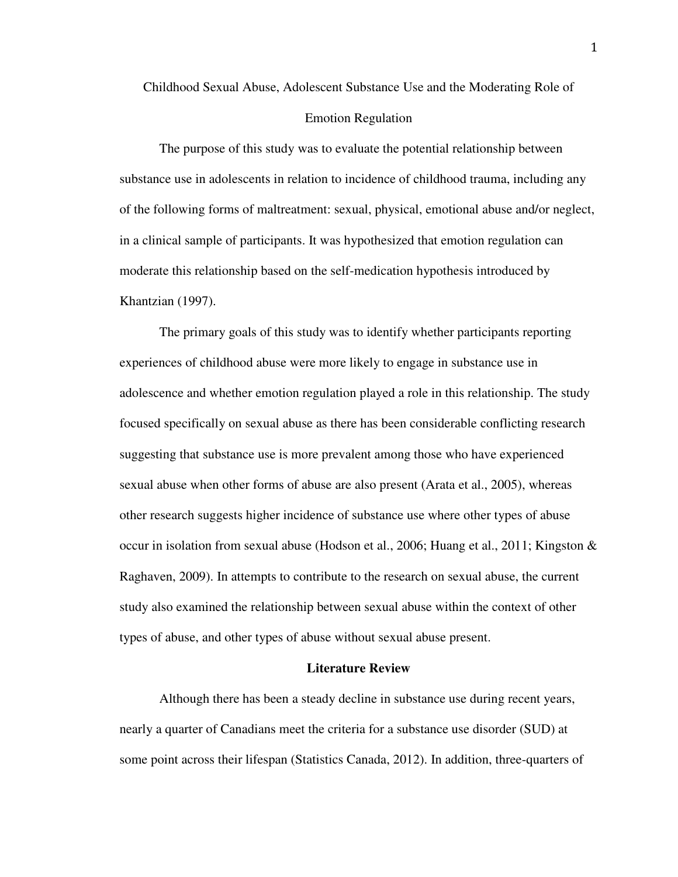Childhood Sexual Abuse, Adolescent Substance Use and the Moderating Role of

#### Emotion Regulation

The purpose of this study was to evaluate the potential relationship between substance use in adolescents in relation to incidence of childhood trauma, including any of the following forms of maltreatment: sexual, physical, emotional abuse and/or neglect, in a clinical sample of participants. It was hypothesized that emotion regulation can moderate this relationship based on the self-medication hypothesis introduced by Khantzian (1997).

The primary goals of this study was to identify whether participants reporting experiences of childhood abuse were more likely to engage in substance use in adolescence and whether emotion regulation played a role in this relationship. The study focused specifically on sexual abuse as there has been considerable conflicting research suggesting that substance use is more prevalent among those who have experienced sexual abuse when other forms of abuse are also present (Arata et al., 2005), whereas other research suggests higher incidence of substance use where other types of abuse occur in isolation from sexual abuse (Hodson et al., 2006; Huang et al., 2011; Kingston & Raghaven, 2009). In attempts to contribute to the research on sexual abuse, the current study also examined the relationship between sexual abuse within the context of other types of abuse, and other types of abuse without sexual abuse present.

#### **Literature Review**

Although there has been a steady decline in substance use during recent years, nearly a quarter of Canadians meet the criteria for a substance use disorder (SUD) at some point across their lifespan (Statistics Canada, 2012). In addition, three-quarters of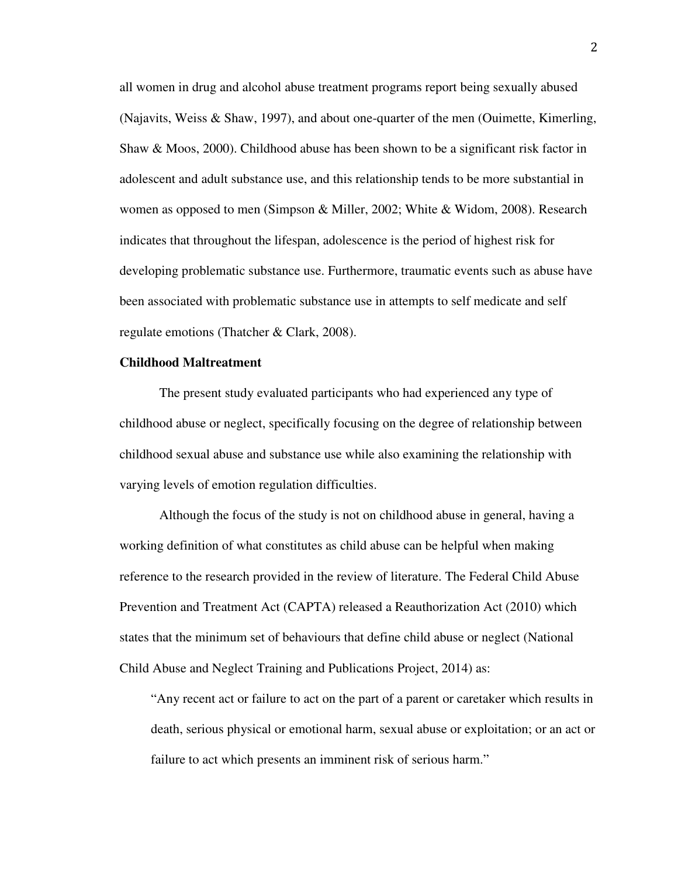all women in drug and alcohol abuse treatment programs report being sexually abused (Najavits, Weiss & Shaw, 1997), and about one-quarter of the men (Ouimette, Kimerling, Shaw & Moos, 2000). Childhood abuse has been shown to be a significant risk factor in adolescent and adult substance use, and this relationship tends to be more substantial in women as opposed to men (Simpson & Miller, 2002; White & Widom, 2008). Research indicates that throughout the lifespan, adolescence is the period of highest risk for developing problematic substance use. Furthermore, traumatic events such as abuse have been associated with problematic substance use in attempts to self medicate and self regulate emotions (Thatcher & Clark, 2008).

#### **Childhood Maltreatment**

The present study evaluated participants who had experienced any type of childhood abuse or neglect, specifically focusing on the degree of relationship between childhood sexual abuse and substance use while also examining the relationship with varying levels of emotion regulation difficulties.

Although the focus of the study is not on childhood abuse in general, having a working definition of what constitutes as child abuse can be helpful when making reference to the research provided in the review of literature. The Federal Child Abuse Prevention and Treatment Act (CAPTA) released a Reauthorization Act (2010) which states that the minimum set of behaviours that define child abuse or neglect (National Child Abuse and Neglect Training and Publications Project, 2014) as:

"Any recent act or failure to act on the part of a parent or caretaker which results in death, serious physical or emotional harm, sexual abuse or exploitation; or an act or failure to act which presents an imminent risk of serious harm."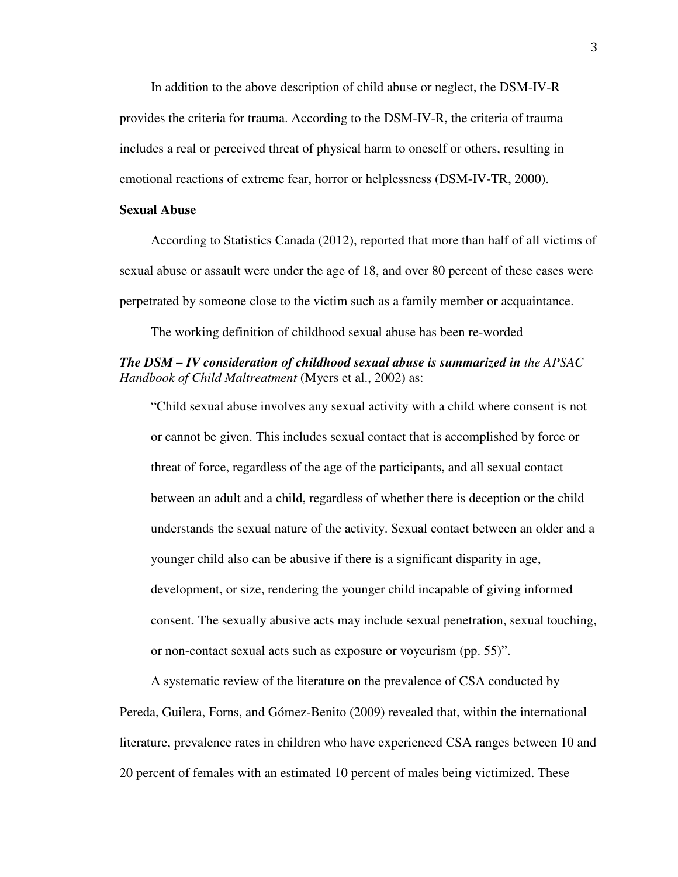In addition to the above description of child abuse or neglect, the DSM-IV-R provides the criteria for trauma. According to the DSM-IV-R, the criteria of trauma includes a real or perceived threat of physical harm to oneself or others, resulting in emotional reactions of extreme fear, horror or helplessness (DSM-IV-TR, 2000).

#### **Sexual Abuse**

According to Statistics Canada (2012), reported that more than half of all victims of sexual abuse or assault were under the age of 18, and over 80 percent of these cases were perpetrated by someone close to the victim such as a family member or acquaintance.

The working definition of childhood sexual abuse has been re-worded

## *The DSM – IV consideration of childhood sexual abuse is summarized in the APSAC Handbook of Child Maltreatment* (Myers et al., 2002) as:

"Child sexual abuse involves any sexual activity with a child where consent is not or cannot be given. This includes sexual contact that is accomplished by force or threat of force, regardless of the age of the participants, and all sexual contact between an adult and a child, regardless of whether there is deception or the child understands the sexual nature of the activity. Sexual contact between an older and a younger child also can be abusive if there is a significant disparity in age, development, or size, rendering the younger child incapable of giving informed consent. The sexually abusive acts may include sexual penetration, sexual touching, or non-contact sexual acts such as exposure or voyeurism (pp. 55)".

A systematic review of the literature on the prevalence of CSA conducted by Pereda, Guilera, Forns, and Gómez-Benito (2009) revealed that, within the international literature, prevalence rates in children who have experienced CSA ranges between 10 and 20 percent of females with an estimated 10 percent of males being victimized. These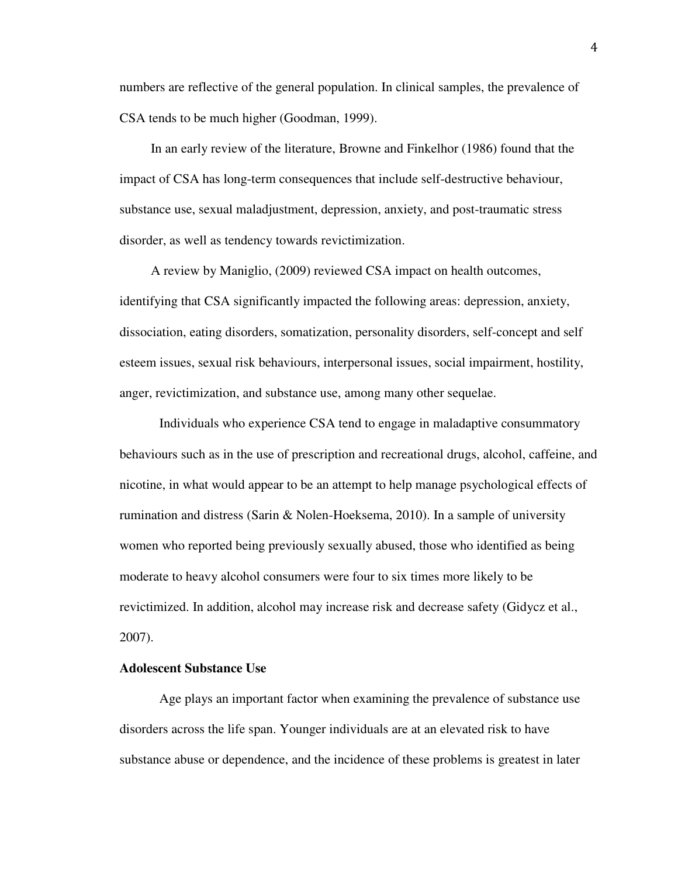numbers are reflective of the general population. In clinical samples, the prevalence of CSA tends to be much higher (Goodman, 1999).

In an early review of the literature, Browne and Finkelhor (1986) found that the impact of CSA has long-term consequences that include self-destructive behaviour, substance use, sexual maladjustment, depression, anxiety, and post-traumatic stress disorder, as well as tendency towards revictimization.

A review by Maniglio, (2009) reviewed CSA impact on health outcomes, identifying that CSA significantly impacted the following areas: depression, anxiety, dissociation, eating disorders, somatization, personality disorders, self-concept and self esteem issues, sexual risk behaviours, interpersonal issues, social impairment, hostility, anger, revictimization, and substance use, among many other sequelae.

Individuals who experience CSA tend to engage in maladaptive consummatory behaviours such as in the use of prescription and recreational drugs, alcohol, caffeine, and nicotine, in what would appear to be an attempt to help manage psychological effects of rumination and distress (Sarin & Nolen-Hoeksema, 2010). In a sample of university women who reported being previously sexually abused, those who identified as being moderate to heavy alcohol consumers were four to six times more likely to be revictimized. In addition, alcohol may increase risk and decrease safety (Gidycz et al., 2007).

#### **Adolescent Substance Use**

Age plays an important factor when examining the prevalence of substance use disorders across the life span. Younger individuals are at an elevated risk to have substance abuse or dependence, and the incidence of these problems is greatest in later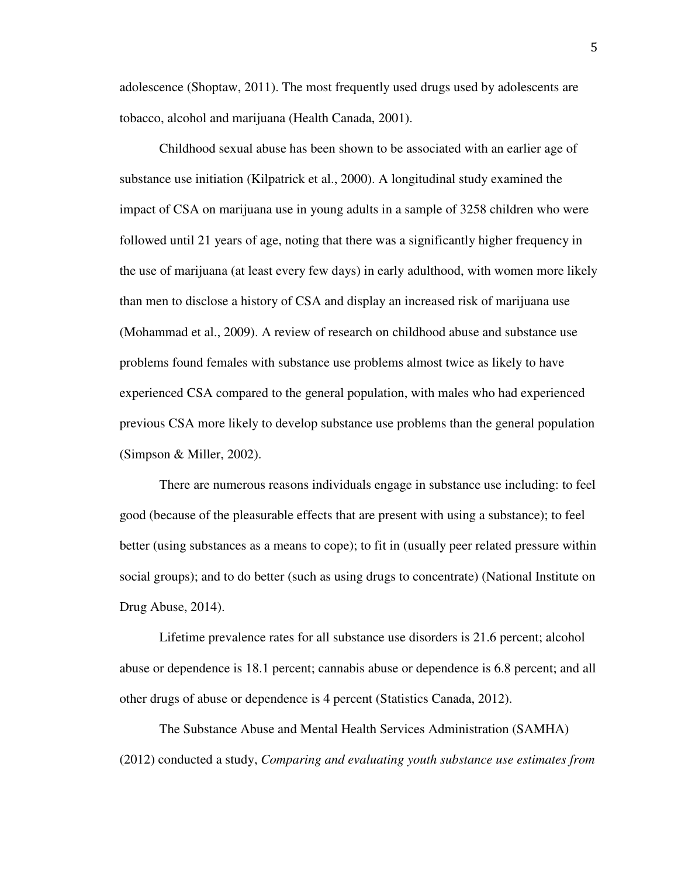adolescence (Shoptaw, 2011). The most frequently used drugs used by adolescents are tobacco, alcohol and marijuana (Health Canada, 2001).

Childhood sexual abuse has been shown to be associated with an earlier age of substance use initiation (Kilpatrick et al., 2000). A longitudinal study examined the impact of CSA on marijuana use in young adults in a sample of 3258 children who were followed until 21 years of age, noting that there was a significantly higher frequency in the use of marijuana (at least every few days) in early adulthood, with women more likely than men to disclose a history of CSA and display an increased risk of marijuana use (Mohammad et al., 2009). A review of research on childhood abuse and substance use problems found females with substance use problems almost twice as likely to have experienced CSA compared to the general population, with males who had experienced previous CSA more likely to develop substance use problems than the general population (Simpson & Miller, 2002).

There are numerous reasons individuals engage in substance use including: to feel good (because of the pleasurable effects that are present with using a substance); to feel better (using substances as a means to cope); to fit in (usually peer related pressure within social groups); and to do better (such as using drugs to concentrate) (National Institute on Drug Abuse, 2014).

Lifetime prevalence rates for all substance use disorders is 21.6 percent; alcohol abuse or dependence is 18.1 percent; cannabis abuse or dependence is 6.8 percent; and all other drugs of abuse or dependence is 4 percent (Statistics Canada, 2012).

The Substance Abuse and Mental Health Services Administration (SAMHA) (2012) conducted a study, *Comparing and evaluating youth substance use estimates from*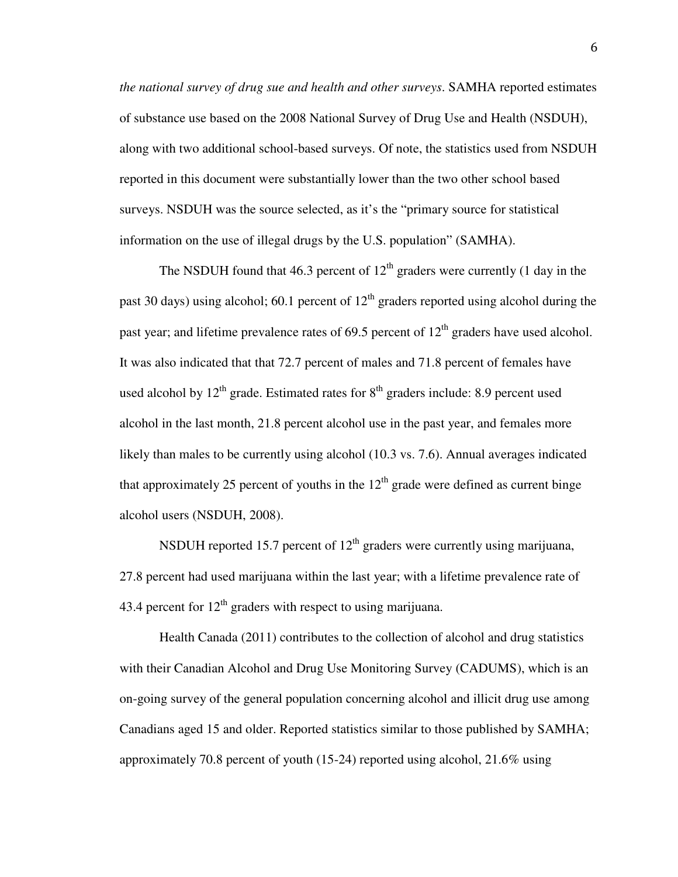*the national survey of drug sue and health and other surveys*. SAMHA reported estimates of substance use based on the 2008 National Survey of Drug Use and Health (NSDUH), along with two additional school-based surveys. Of note, the statistics used from NSDUH reported in this document were substantially lower than the two other school based surveys. NSDUH was the source selected, as it's the "primary source for statistical information on the use of illegal drugs by the U.S. population" (SAMHA).

The NSDUH found that 46.3 percent of  $12<sup>th</sup>$  graders were currently (1 day in the past 30 days) using alcohol; 60.1 percent of  $12<sup>th</sup>$  graders reported using alcohol during the past year; and lifetime prevalence rates of 69.5 percent of  $12<sup>th</sup>$  graders have used alcohol. It was also indicated that that 72.7 percent of males and 71.8 percent of females have used alcohol by  $12<sup>th</sup>$  grade. Estimated rates for  $8<sup>th</sup>$  graders include: 8.9 percent used alcohol in the last month, 21.8 percent alcohol use in the past year, and females more likely than males to be currently using alcohol (10.3 vs. 7.6). Annual averages indicated that approximately 25 percent of youths in the  $12<sup>th</sup>$  grade were defined as current binge alcohol users (NSDUH, 2008).

NSDUH reported 15.7 percent of  $12<sup>th</sup>$  graders were currently using marijuana, 27.8 percent had used marijuana within the last year; with a lifetime prevalence rate of 43.4 percent for  $12<sup>th</sup>$  graders with respect to using marijuana.

Health Canada (2011) contributes to the collection of alcohol and drug statistics with their Canadian Alcohol and Drug Use Monitoring Survey (CADUMS), which is an on-going survey of the general population concerning alcohol and illicit drug use among Canadians aged 15 and older. Reported statistics similar to those published by SAMHA; approximately 70.8 percent of youth (15-24) reported using alcohol, 21.6% using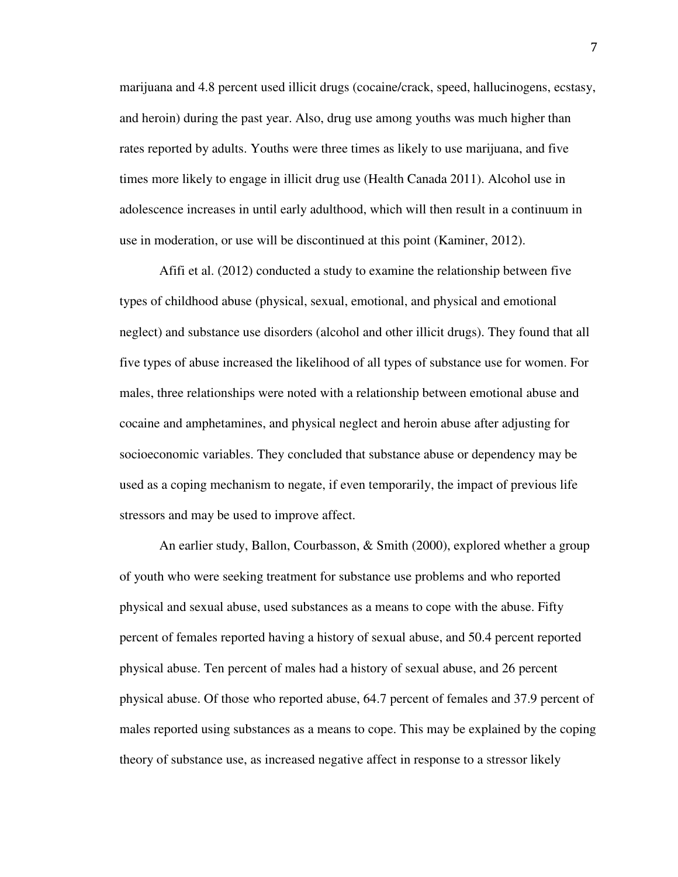marijuana and 4.8 percent used illicit drugs (cocaine/crack, speed, hallucinogens, ecstasy, and heroin) during the past year. Also, drug use among youths was much higher than rates reported by adults. Youths were three times as likely to use marijuana, and five times more likely to engage in illicit drug use (Health Canada 2011). Alcohol use in adolescence increases in until early adulthood, which will then result in a continuum in use in moderation, or use will be discontinued at this point (Kaminer, 2012).

Afifi et al. (2012) conducted a study to examine the relationship between five types of childhood abuse (physical, sexual, emotional, and physical and emotional neglect) and substance use disorders (alcohol and other illicit drugs). They found that all five types of abuse increased the likelihood of all types of substance use for women. For males, three relationships were noted with a relationship between emotional abuse and cocaine and amphetamines, and physical neglect and heroin abuse after adjusting for socioeconomic variables. They concluded that substance abuse or dependency may be used as a coping mechanism to negate, if even temporarily, the impact of previous life stressors and may be used to improve affect.

An earlier study, Ballon, Courbasson, & Smith (2000), explored whether a group of youth who were seeking treatment for substance use problems and who reported physical and sexual abuse, used substances as a means to cope with the abuse. Fifty percent of females reported having a history of sexual abuse, and 50.4 percent reported physical abuse. Ten percent of males had a history of sexual abuse, and 26 percent physical abuse. Of those who reported abuse, 64.7 percent of females and 37.9 percent of males reported using substances as a means to cope. This may be explained by the coping theory of substance use, as increased negative affect in response to a stressor likely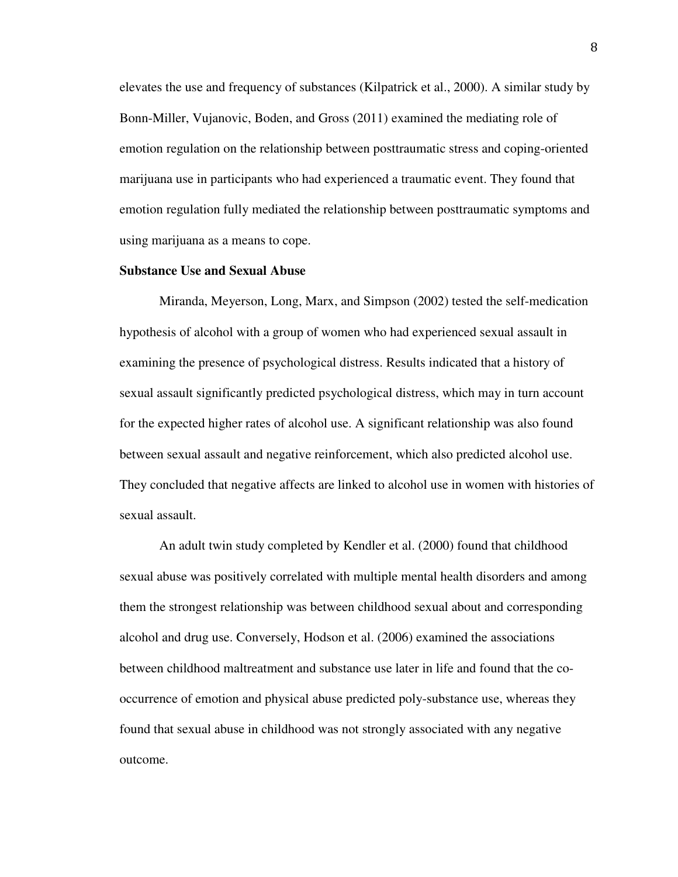elevates the use and frequency of substances (Kilpatrick et al., 2000). A similar study by Bonn-Miller, Vujanovic, Boden, and Gross (2011) examined the mediating role of emotion regulation on the relationship between posttraumatic stress and coping-oriented marijuana use in participants who had experienced a traumatic event. They found that emotion regulation fully mediated the relationship between posttraumatic symptoms and using marijuana as a means to cope.

#### **Substance Use and Sexual Abuse**

Miranda, Meyerson, Long, Marx, and Simpson (2002) tested the self-medication hypothesis of alcohol with a group of women who had experienced sexual assault in examining the presence of psychological distress. Results indicated that a history of sexual assault significantly predicted psychological distress, which may in turn account for the expected higher rates of alcohol use. A significant relationship was also found between sexual assault and negative reinforcement, which also predicted alcohol use. They concluded that negative affects are linked to alcohol use in women with histories of sexual assault.

An adult twin study completed by Kendler et al. (2000) found that childhood sexual abuse was positively correlated with multiple mental health disorders and among them the strongest relationship was between childhood sexual about and corresponding alcohol and drug use. Conversely, Hodson et al. (2006) examined the associations between childhood maltreatment and substance use later in life and found that the cooccurrence of emotion and physical abuse predicted poly-substance use, whereas they found that sexual abuse in childhood was not strongly associated with any negative outcome.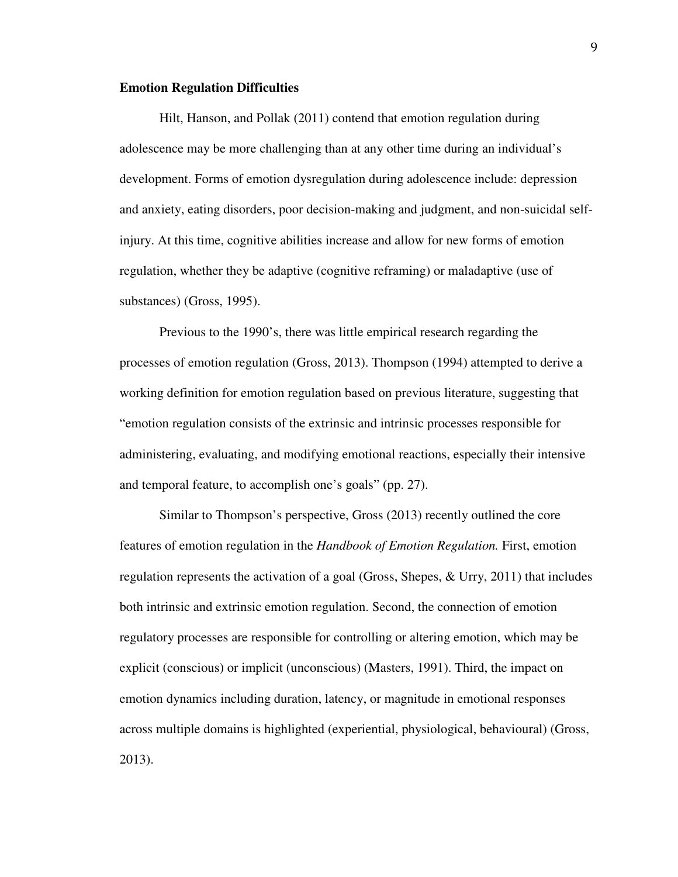#### **Emotion Regulation Difficulties**

Hilt, Hanson, and Pollak (2011) contend that emotion regulation during adolescence may be more challenging than at any other time during an individual's development. Forms of emotion dysregulation during adolescence include: depression and anxiety, eating disorders, poor decision-making and judgment, and non-suicidal selfinjury. At this time, cognitive abilities increase and allow for new forms of emotion regulation, whether they be adaptive (cognitive reframing) or maladaptive (use of substances) (Gross, 1995).

Previous to the 1990's, there was little empirical research regarding the processes of emotion regulation (Gross, 2013). Thompson (1994) attempted to derive a working definition for emotion regulation based on previous literature, suggesting that "emotion regulation consists of the extrinsic and intrinsic processes responsible for administering, evaluating, and modifying emotional reactions, especially their intensive and temporal feature, to accomplish one's goals" (pp. 27).

Similar to Thompson's perspective, Gross (2013) recently outlined the core features of emotion regulation in the *Handbook of Emotion Regulation.* First, emotion regulation represents the activation of a goal (Gross, Shepes, & Urry, 2011) that includes both intrinsic and extrinsic emotion regulation. Second, the connection of emotion regulatory processes are responsible for controlling or altering emotion, which may be explicit (conscious) or implicit (unconscious) (Masters, 1991). Third, the impact on emotion dynamics including duration, latency, or magnitude in emotional responses across multiple domains is highlighted (experiential, physiological, behavioural) (Gross, 2013).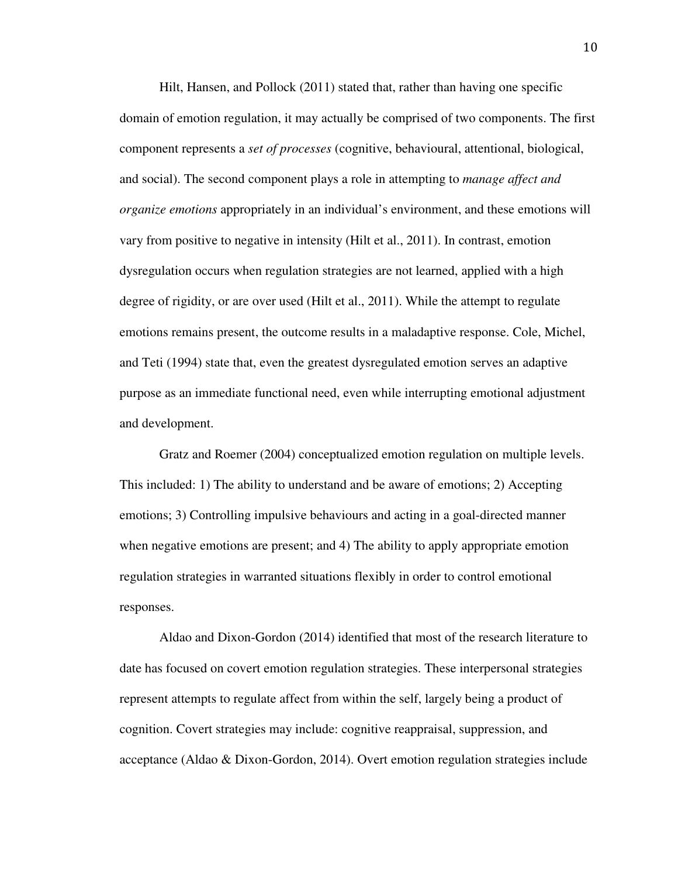Hilt, Hansen, and Pollock (2011) stated that, rather than having one specific domain of emotion regulation, it may actually be comprised of two components. The first component represents a *set of processes* (cognitive, behavioural, attentional, biological, and social). The second component plays a role in attempting to *manage affect and organize emotions* appropriately in an individual's environment, and these emotions will vary from positive to negative in intensity (Hilt et al., 2011). In contrast, emotion dysregulation occurs when regulation strategies are not learned, applied with a high degree of rigidity, or are over used (Hilt et al., 2011). While the attempt to regulate emotions remains present, the outcome results in a maladaptive response. Cole, Michel, and Teti (1994) state that, even the greatest dysregulated emotion serves an adaptive purpose as an immediate functional need, even while interrupting emotional adjustment and development.

Gratz and Roemer (2004) conceptualized emotion regulation on multiple levels. This included: 1) The ability to understand and be aware of emotions; 2) Accepting emotions; 3) Controlling impulsive behaviours and acting in a goal-directed manner when negative emotions are present; and 4) The ability to apply appropriate emotion regulation strategies in warranted situations flexibly in order to control emotional responses.

Aldao and Dixon-Gordon (2014) identified that most of the research literature to date has focused on covert emotion regulation strategies. These interpersonal strategies represent attempts to regulate affect from within the self, largely being a product of cognition. Covert strategies may include: cognitive reappraisal, suppression, and acceptance (Aldao & Dixon-Gordon, 2014). Overt emotion regulation strategies include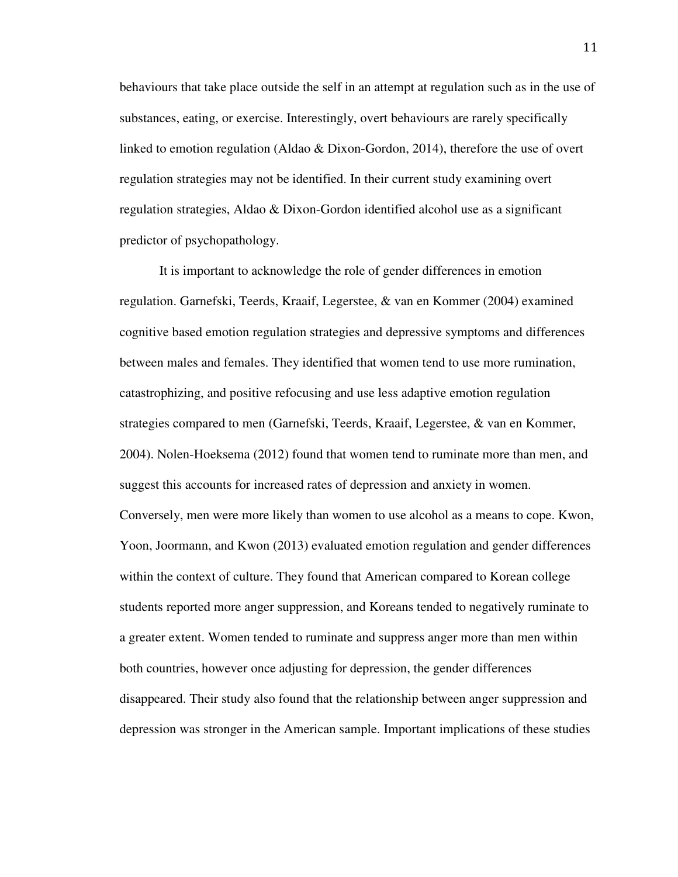behaviours that take place outside the self in an attempt at regulation such as in the use of substances, eating, or exercise. Interestingly, overt behaviours are rarely specifically linked to emotion regulation (Aldao & Dixon-Gordon, 2014), therefore the use of overt regulation strategies may not be identified. In their current study examining overt regulation strategies, Aldao & Dixon-Gordon identified alcohol use as a significant predictor of psychopathology.

It is important to acknowledge the role of gender differences in emotion regulation. Garnefski, Teerds, Kraaif, Legerstee, & van en Kommer (2004) examined cognitive based emotion regulation strategies and depressive symptoms and differences between males and females. They identified that women tend to use more rumination, catastrophizing, and positive refocusing and use less adaptive emotion regulation strategies compared to men (Garnefski, Teerds, Kraaif, Legerstee, & van en Kommer, 2004). Nolen-Hoeksema (2012) found that women tend to ruminate more than men, and suggest this accounts for increased rates of depression and anxiety in women. Conversely, men were more likely than women to use alcohol as a means to cope. Kwon, Yoon, Joormann, and Kwon (2013) evaluated emotion regulation and gender differences within the context of culture. They found that American compared to Korean college students reported more anger suppression, and Koreans tended to negatively ruminate to a greater extent. Women tended to ruminate and suppress anger more than men within both countries, however once adjusting for depression, the gender differences disappeared. Their study also found that the relationship between anger suppression and depression was stronger in the American sample. Important implications of these studies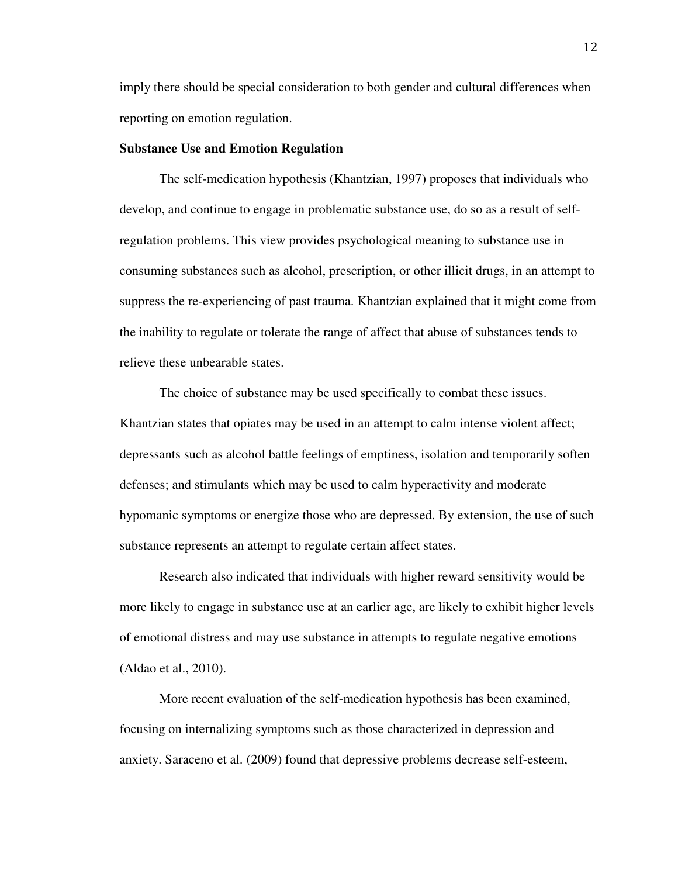imply there should be special consideration to both gender and cultural differences when reporting on emotion regulation.

#### **Substance Use and Emotion Regulation**

The self-medication hypothesis (Khantzian, 1997) proposes that individuals who develop, and continue to engage in problematic substance use, do so as a result of selfregulation problems. This view provides psychological meaning to substance use in consuming substances such as alcohol, prescription, or other illicit drugs, in an attempt to suppress the re-experiencing of past trauma. Khantzian explained that it might come from the inability to regulate or tolerate the range of affect that abuse of substances tends to relieve these unbearable states.

The choice of substance may be used specifically to combat these issues. Khantzian states that opiates may be used in an attempt to calm intense violent affect; depressants such as alcohol battle feelings of emptiness, isolation and temporarily soften defenses; and stimulants which may be used to calm hyperactivity and moderate hypomanic symptoms or energize those who are depressed. By extension, the use of such substance represents an attempt to regulate certain affect states.

Research also indicated that individuals with higher reward sensitivity would be more likely to engage in substance use at an earlier age, are likely to exhibit higher levels of emotional distress and may use substance in attempts to regulate negative emotions (Aldao et al., 2010).

More recent evaluation of the self-medication hypothesis has been examined, focusing on internalizing symptoms such as those characterized in depression and anxiety. Saraceno et al. (2009) found that depressive problems decrease self-esteem,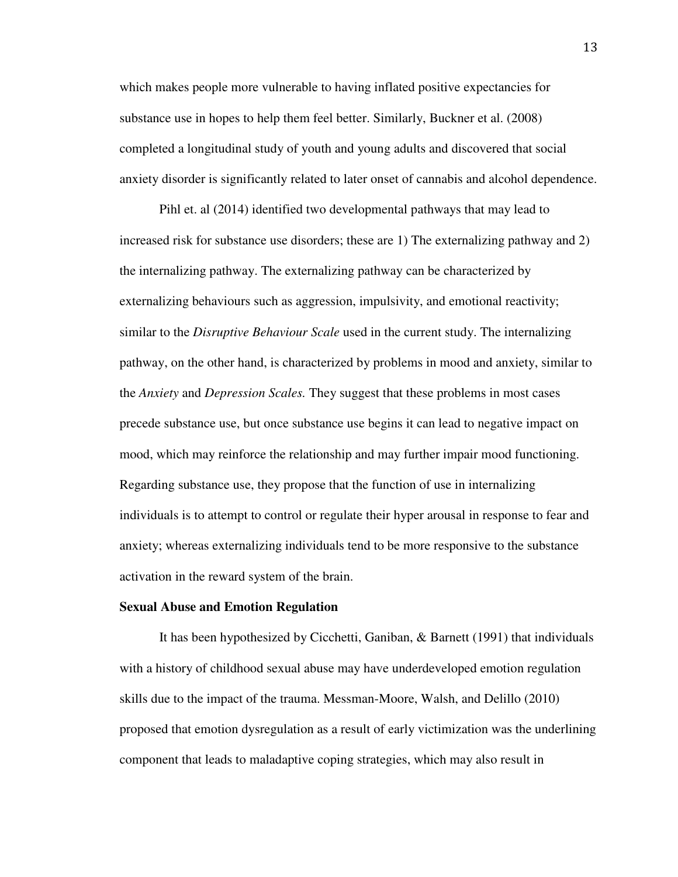which makes people more vulnerable to having inflated positive expectancies for substance use in hopes to help them feel better. Similarly, Buckner et al. (2008) completed a longitudinal study of youth and young adults and discovered that social anxiety disorder is significantly related to later onset of cannabis and alcohol dependence.

Pihl et. al (2014) identified two developmental pathways that may lead to increased risk for substance use disorders; these are 1) The externalizing pathway and 2) the internalizing pathway. The externalizing pathway can be characterized by externalizing behaviours such as aggression, impulsivity, and emotional reactivity; similar to the *Disruptive Behaviour Scale* used in the current study. The internalizing pathway, on the other hand, is characterized by problems in mood and anxiety, similar to the *Anxiety* and *Depression Scales.* They suggest that these problems in most cases precede substance use, but once substance use begins it can lead to negative impact on mood, which may reinforce the relationship and may further impair mood functioning. Regarding substance use, they propose that the function of use in internalizing individuals is to attempt to control or regulate their hyper arousal in response to fear and anxiety; whereas externalizing individuals tend to be more responsive to the substance activation in the reward system of the brain.

#### **Sexual Abuse and Emotion Regulation**

It has been hypothesized by Cicchetti, Ganiban, & Barnett (1991) that individuals with a history of childhood sexual abuse may have underdeveloped emotion regulation skills due to the impact of the trauma. Messman-Moore, Walsh, and Delillo (2010) proposed that emotion dysregulation as a result of early victimization was the underlining component that leads to maladaptive coping strategies, which may also result in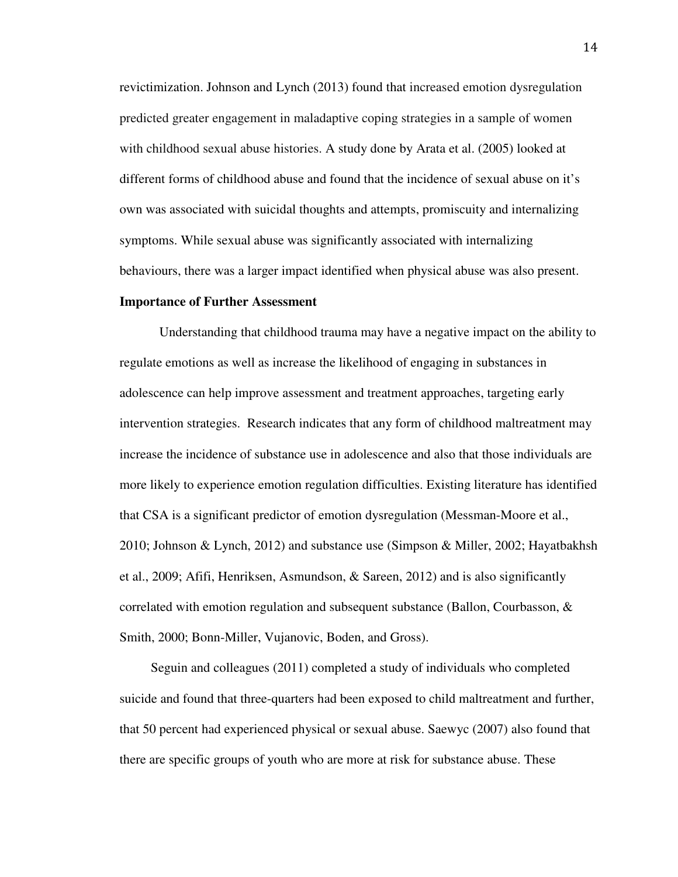revictimization. Johnson and Lynch (2013) found that increased emotion dysregulation predicted greater engagement in maladaptive coping strategies in a sample of women with childhood sexual abuse histories. A study done by Arata et al. (2005) looked at different forms of childhood abuse and found that the incidence of sexual abuse on it's own was associated with suicidal thoughts and attempts, promiscuity and internalizing symptoms. While sexual abuse was significantly associated with internalizing behaviours, there was a larger impact identified when physical abuse was also present.

#### **Importance of Further Assessment**

Understanding that childhood trauma may have a negative impact on the ability to regulate emotions as well as increase the likelihood of engaging in substances in adolescence can help improve assessment and treatment approaches, targeting early intervention strategies. Research indicates that any form of childhood maltreatment may increase the incidence of substance use in adolescence and also that those individuals are more likely to experience emotion regulation difficulties. Existing literature has identified that CSA is a significant predictor of emotion dysregulation (Messman-Moore et al., 2010; Johnson & Lynch, 2012) and substance use (Simpson & Miller, 2002; Hayatbakhsh et al., 2009; Afifi, Henriksen, Asmundson, & Sareen, 2012) and is also significantly correlated with emotion regulation and subsequent substance (Ballon, Courbasson,  $\&$ Smith, 2000; Bonn-Miller, Vujanovic, Boden, and Gross).

 Seguin and colleagues (2011) completed a study of individuals who completed suicide and found that three-quarters had been exposed to child maltreatment and further, that 50 percent had experienced physical or sexual abuse. Saewyc (2007) also found that there are specific groups of youth who are more at risk for substance abuse. These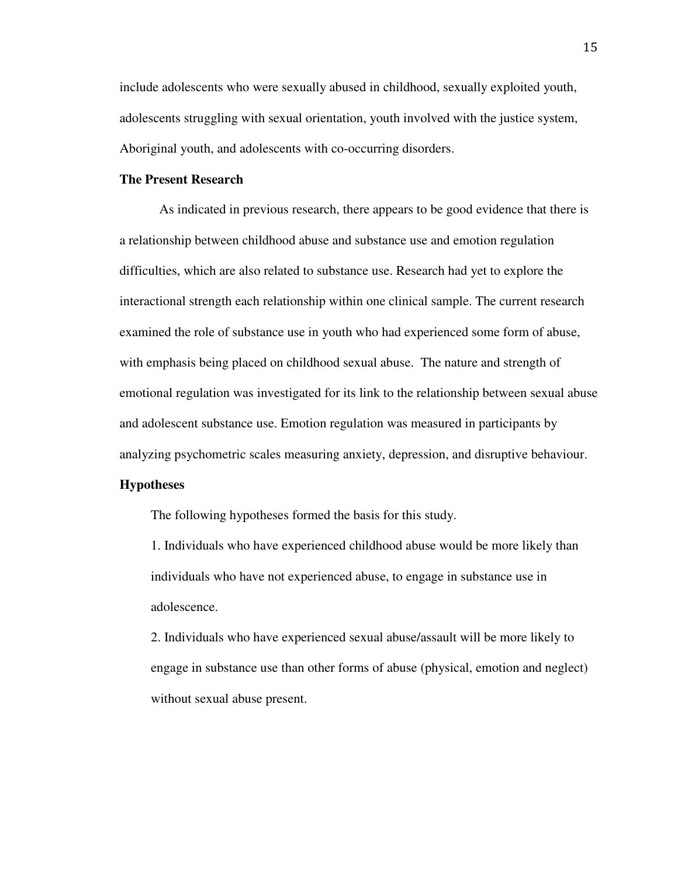include adolescents who were sexually abused in childhood, sexually exploited youth, adolescents struggling with sexual orientation, youth involved with the justice system, Aboriginal youth, and adolescents with co-occurring disorders.

#### **The Present Research**

 As indicated in previous research, there appears to be good evidence that there is a relationship between childhood abuse and substance use and emotion regulation difficulties, which are also related to substance use. Research had yet to explore the interactional strength each relationship within one clinical sample. The current research examined the role of substance use in youth who had experienced some form of abuse, with emphasis being placed on childhood sexual abuse. The nature and strength of emotional regulation was investigated for its link to the relationship between sexual abuse and adolescent substance use. Emotion regulation was measured in participants by analyzing psychometric scales measuring anxiety, depression, and disruptive behaviour.

#### **Hypotheses**

The following hypotheses formed the basis for this study.

1. Individuals who have experienced childhood abuse would be more likely than individuals who have not experienced abuse, to engage in substance use in adolescence.

2. Individuals who have experienced sexual abuse/assault will be more likely to engage in substance use than other forms of abuse (physical, emotion and neglect) without sexual abuse present.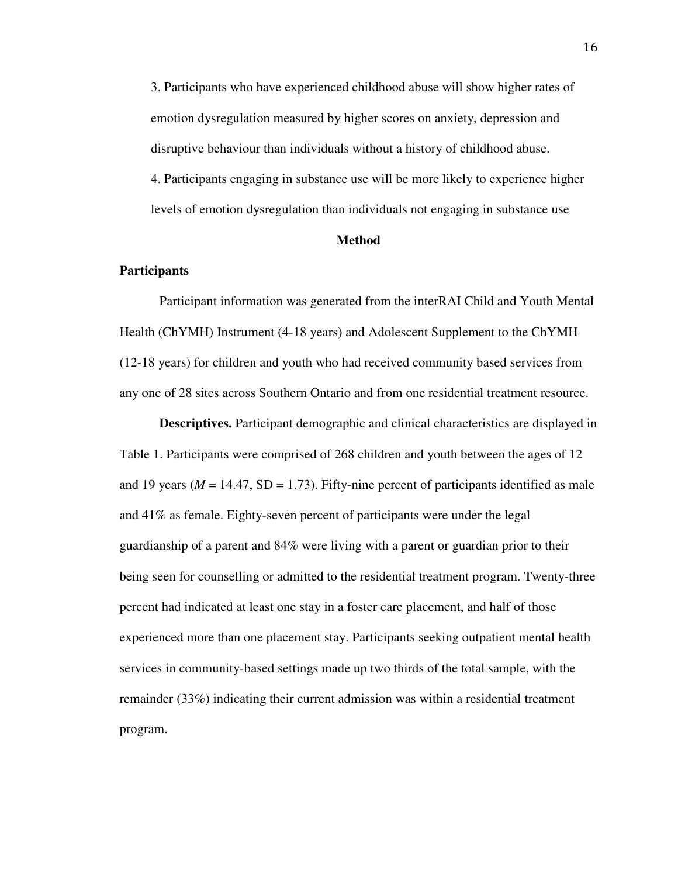3. Participants who have experienced childhood abuse will show higher rates of emotion dysregulation measured by higher scores on anxiety, depression and disruptive behaviour than individuals without a history of childhood abuse. 4. Participants engaging in substance use will be more likely to experience higher levels of emotion dysregulation than individuals not engaging in substance use

#### **Method**

#### **Participants**

Participant information was generated from the interRAI Child and Youth Mental Health (ChYMH) Instrument (4-18 years) and Adolescent Supplement to the ChYMH (12-18 years) for children and youth who had received community based services from any one of 28 sites across Southern Ontario and from one residential treatment resource.

**Descriptives.** Participant demographic and clinical characteristics are displayed in Table 1. Participants were comprised of 268 children and youth between the ages of 12 and 19 years ( $M = 14.47$ , SD = 1.73). Fifty-nine percent of participants identified as male and 41% as female. Eighty-seven percent of participants were under the legal guardianship of a parent and 84% were living with a parent or guardian prior to their being seen for counselling or admitted to the residential treatment program. Twenty-three percent had indicated at least one stay in a foster care placement, and half of those experienced more than one placement stay. Participants seeking outpatient mental health services in community-based settings made up two thirds of the total sample, with the remainder (33%) indicating their current admission was within a residential treatment program.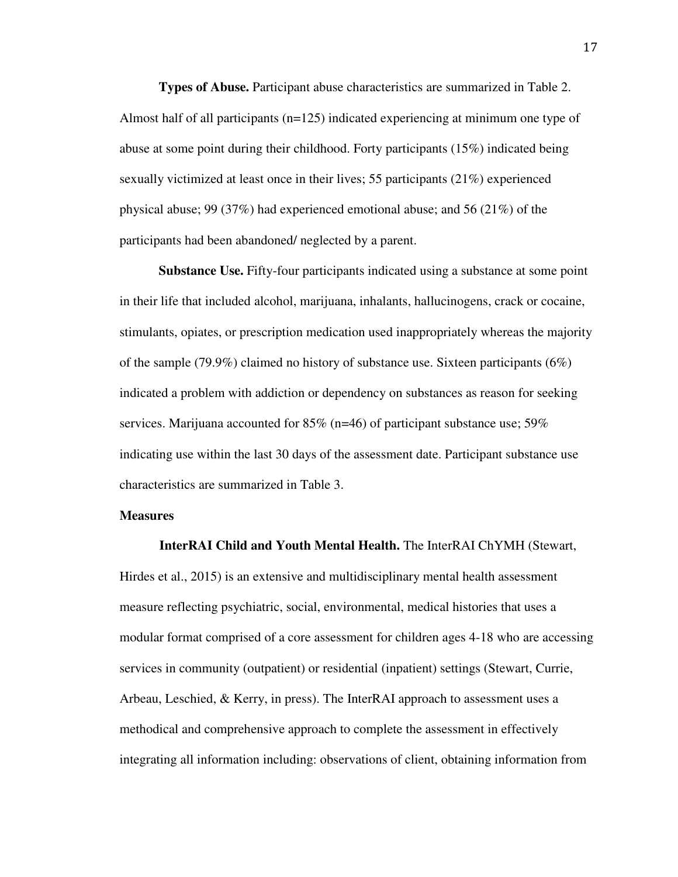**Types of Abuse.** Participant abuse characteristics are summarized in Table 2. Almost half of all participants (n=125) indicated experiencing at minimum one type of abuse at some point during their childhood. Forty participants (15%) indicated being sexually victimized at least once in their lives; 55 participants (21%) experienced physical abuse; 99 (37%) had experienced emotional abuse; and 56 (21%) of the participants had been abandoned/ neglected by a parent.

**Substance Use.** Fifty-four participants indicated using a substance at some point in their life that included alcohol, marijuana, inhalants, hallucinogens, crack or cocaine, stimulants, opiates, or prescription medication used inappropriately whereas the majority of the sample (79.9%) claimed no history of substance use. Sixteen participants ( $6\%$ ) indicated a problem with addiction or dependency on substances as reason for seeking services. Marijuana accounted for 85% (n=46) of participant substance use; 59% indicating use within the last 30 days of the assessment date. Participant substance use characteristics are summarized in Table 3.

#### **Measures**

**InterRAI Child and Youth Mental Health.** The InterRAI ChYMH (Stewart, Hirdes et al., 2015) is an extensive and multidisciplinary mental health assessment measure reflecting psychiatric, social, environmental, medical histories that uses a modular format comprised of a core assessment for children ages 4-18 who are accessing services in community (outpatient) or residential (inpatient) settings (Stewart, Currie, Arbeau, Leschied, & Kerry, in press). The InterRAI approach to assessment uses a methodical and comprehensive approach to complete the assessment in effectively integrating all information including: observations of client, obtaining information from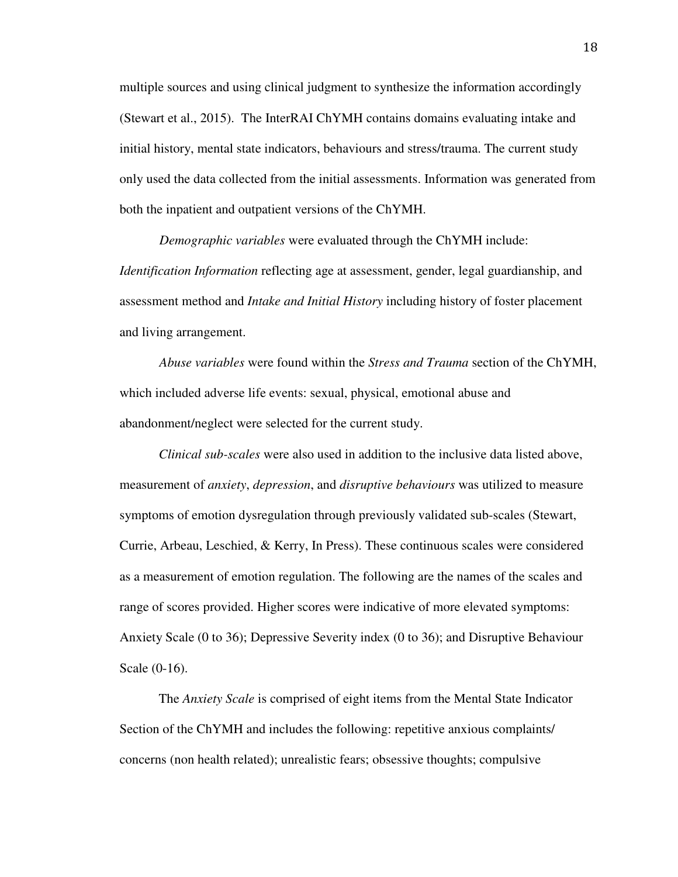multiple sources and using clinical judgment to synthesize the information accordingly (Stewart et al., 2015). The InterRAI ChYMH contains domains evaluating intake and initial history, mental state indicators, behaviours and stress/trauma. The current study only used the data collected from the initial assessments. Information was generated from both the inpatient and outpatient versions of the ChYMH.

*Demographic variables* were evaluated through the ChYMH include: *Identification Information* reflecting age at assessment, gender, legal guardianship, and assessment method and *Intake and Initial History* including history of foster placement and living arrangement.

*Abuse variables* were found within the *Stress and Trauma* section of the ChYMH, which included adverse life events: sexual, physical, emotional abuse and abandonment/neglect were selected for the current study.

*Clinical sub-scales* were also used in addition to the inclusive data listed above, measurement of *anxiety*, *depression*, and *disruptive behaviours* was utilized to measure symptoms of emotion dysregulation through previously validated sub-scales (Stewart, Currie, Arbeau, Leschied, & Kerry, In Press). These continuous scales were considered as a measurement of emotion regulation. The following are the names of the scales and range of scores provided. Higher scores were indicative of more elevated symptoms: Anxiety Scale (0 to 36); Depressive Severity index (0 to 36); and Disruptive Behaviour Scale (0-16).

The *Anxiety Scale* is comprised of eight items from the Mental State Indicator Section of the ChYMH and includes the following: repetitive anxious complaints/ concerns (non health related); unrealistic fears; obsessive thoughts; compulsive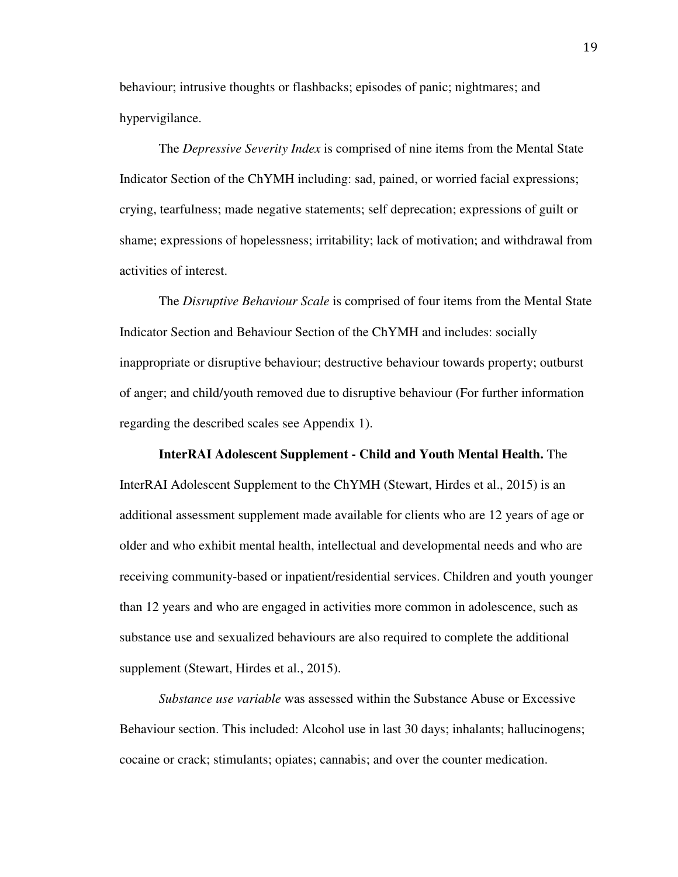behaviour; intrusive thoughts or flashbacks; episodes of panic; nightmares; and hypervigilance.

The *Depressive Severity Index* is comprised of nine items from the Mental State Indicator Section of the ChYMH including: sad, pained, or worried facial expressions; crying, tearfulness; made negative statements; self deprecation; expressions of guilt or shame; expressions of hopelessness; irritability; lack of motivation; and withdrawal from activities of interest.

The *Disruptive Behaviour Scale* is comprised of four items from the Mental State Indicator Section and Behaviour Section of the ChYMH and includes: socially inappropriate or disruptive behaviour; destructive behaviour towards property; outburst of anger; and child/youth removed due to disruptive behaviour (For further information regarding the described scales see Appendix 1).

#### **InterRAI Adolescent Supplement - Child and Youth Mental Health.** The

InterRAI Adolescent Supplement to the ChYMH (Stewart, Hirdes et al., 2015) is an additional assessment supplement made available for clients who are 12 years of age or older and who exhibit mental health, intellectual and developmental needs and who are receiving community-based or inpatient/residential services. Children and youth younger than 12 years and who are engaged in activities more common in adolescence, such as substance use and sexualized behaviours are also required to complete the additional supplement (Stewart, Hirdes et al., 2015).

*Substance use variable* was assessed within the Substance Abuse or Excessive Behaviour section. This included: Alcohol use in last 30 days; inhalants; hallucinogens; cocaine or crack; stimulants; opiates; cannabis; and over the counter medication.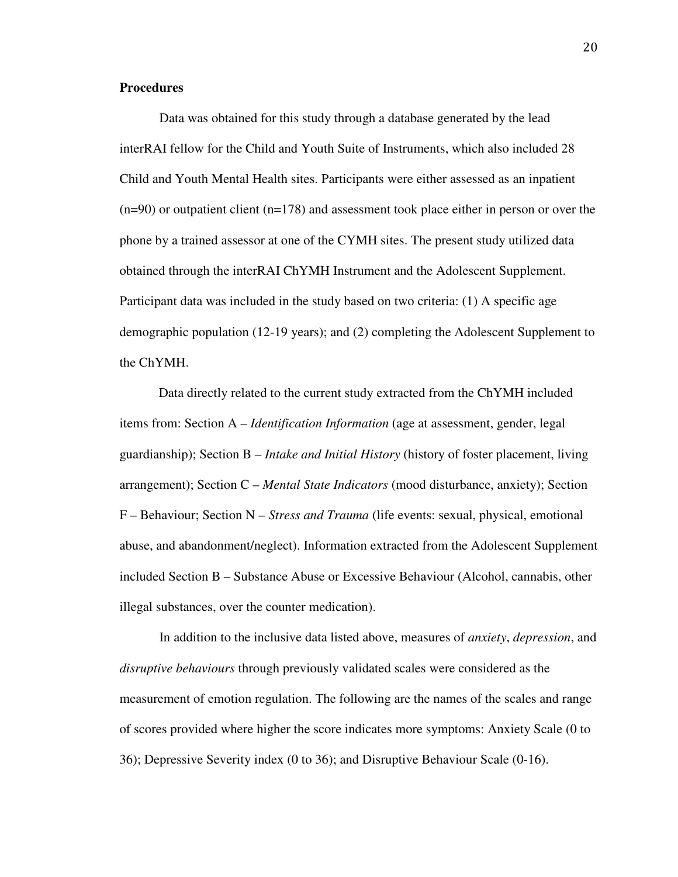### **Procedures**

 Data was obtained for this study through a database generated by the lead interRAI fellow for the Child and Youth Suite of Instruments, which also included 28 Child and Youth Mental Health sites. Participants were either assessed as an inpatient  $(n=90)$  or outpatient client  $(n=178)$  and assessment took place either in person or over the phone by a trained assessor at one of the CYMH sites. The present study utilized data obtained through the interRAI ChYMH Instrument and the Adolescent Supplement. Participant data was included in the study based on two criteria: (1) A specific age demographic population (12-19 years); and (2) completing the Adolescent Supplement to the ChYMH.

Data directly related to the current study extracted from the ChYMH included items from: Section A – *Identification Information* (age at assessment, gender, legal guardianship); Section B *– Intake and Initial History* (history of foster placement, living arrangement); Section C – *Mental State Indicators* (mood disturbance, anxiety); Section F – Behaviour; Section N – *Stress and Trauma* (life events: sexual, physical, emotional abuse, and abandonment/neglect). Information extracted from the Adolescent Supplement included Section B – Substance Abuse or Excessive Behaviour (Alcohol, cannabis, other illegal substances, over the counter medication).

 In addition to the inclusive data listed above, measures of *anxiety*, *depression*, and *disruptive behaviours* through previously validated scales were considered as the measurement of emotion regulation. The following are the names of the scales and range of scores provided where higher the score indicates more symptoms: Anxiety Scale (0 to 36); Depressive Severity index (0 to 36); and Disruptive Behaviour Scale (0-16).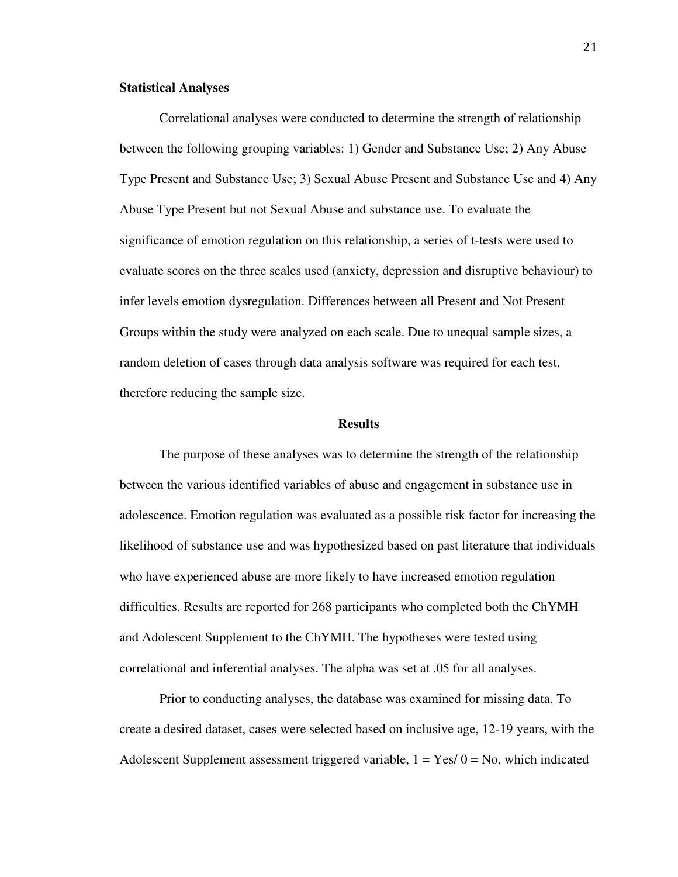#### **Statistical Analyses**

Correlational analyses were conducted to determine the strength of relationship between the following grouping variables: 1) Gender and Substance Use; 2) Any Abuse Type Present and Substance Use; 3) Sexual Abuse Present and Substance Use and 4) Any Abuse Type Present but not Sexual Abuse and substance use. To evaluate the significance of emotion regulation on this relationship, a series of t-tests were used to evaluate scores on the three scales used (anxiety, depression and disruptive behaviour) to infer levels emotion dysregulation. Differences between all Present and Not Present Groups within the study were analyzed on each scale. Due to unequal sample sizes, a random deletion of cases through data analysis software was required for each test, therefore reducing the sample size.

#### **Results**

The purpose of these analyses was to determine the strength of the relationship between the various identified variables of abuse and engagement in substance use in adolescence. Emotion regulation was evaluated as a possible risk factor for increasing the likelihood of substance use and was hypothesized based on past literature that individuals who have experienced abuse are more likely to have increased emotion regulation difficulties. Results are reported for 268 participants who completed both the ChYMH and Adolescent Supplement to the ChYMH. The hypotheses were tested using correlational and inferential analyses. The alpha was set at .05 for all analyses.

 Prior to conducting analyses, the database was examined for missing data. To create a desired dataset, cases were selected based on inclusive age, 12-19 years, with the Adolescent Supplement assessment triggered variable,  $1 = Yes/0 = No$ , which indicated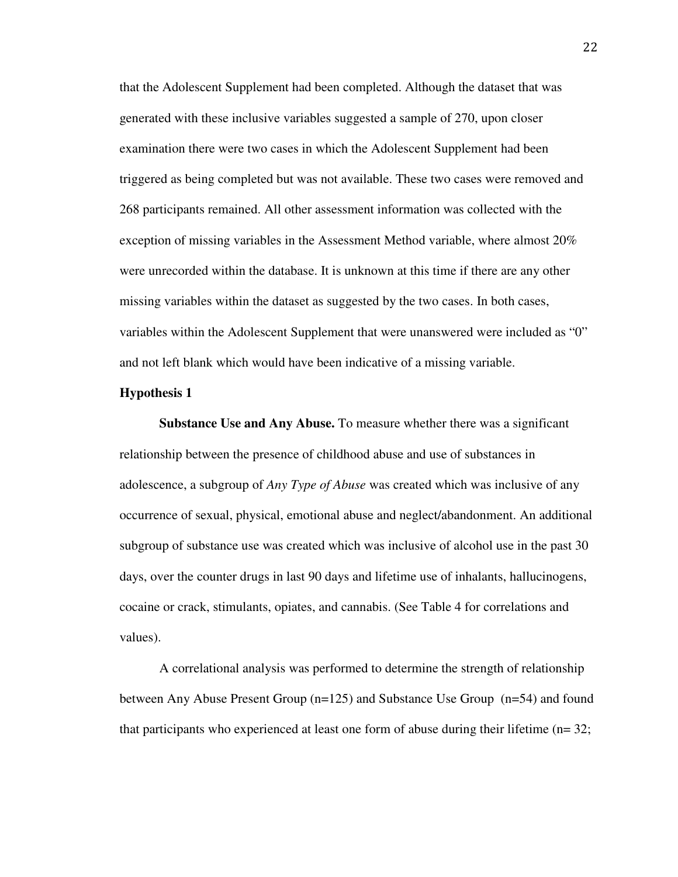that the Adolescent Supplement had been completed. Although the dataset that was generated with these inclusive variables suggested a sample of 270, upon closer examination there were two cases in which the Adolescent Supplement had been triggered as being completed but was not available. These two cases were removed and 268 participants remained. All other assessment information was collected with the exception of missing variables in the Assessment Method variable, where almost 20% were unrecorded within the database. It is unknown at this time if there are any other missing variables within the dataset as suggested by the two cases. In both cases, variables within the Adolescent Supplement that were unanswered were included as "0" and not left blank which would have been indicative of a missing variable.

#### **Hypothesis 1**

**Substance Use and Any Abuse.** To measure whether there was a significant relationship between the presence of childhood abuse and use of substances in adolescence, a subgroup of *Any Type of Abuse* was created which was inclusive of any occurrence of sexual, physical, emotional abuse and neglect/abandonment. An additional subgroup of substance use was created which was inclusive of alcohol use in the past 30 days, over the counter drugs in last 90 days and lifetime use of inhalants, hallucinogens, cocaine or crack, stimulants, opiates, and cannabis. (See Table 4 for correlations and values).

A correlational analysis was performed to determine the strength of relationship between Any Abuse Present Group (n=125) and Substance Use Group (n=54) and found that participants who experienced at least one form of abuse during their lifetime  $(n=32;$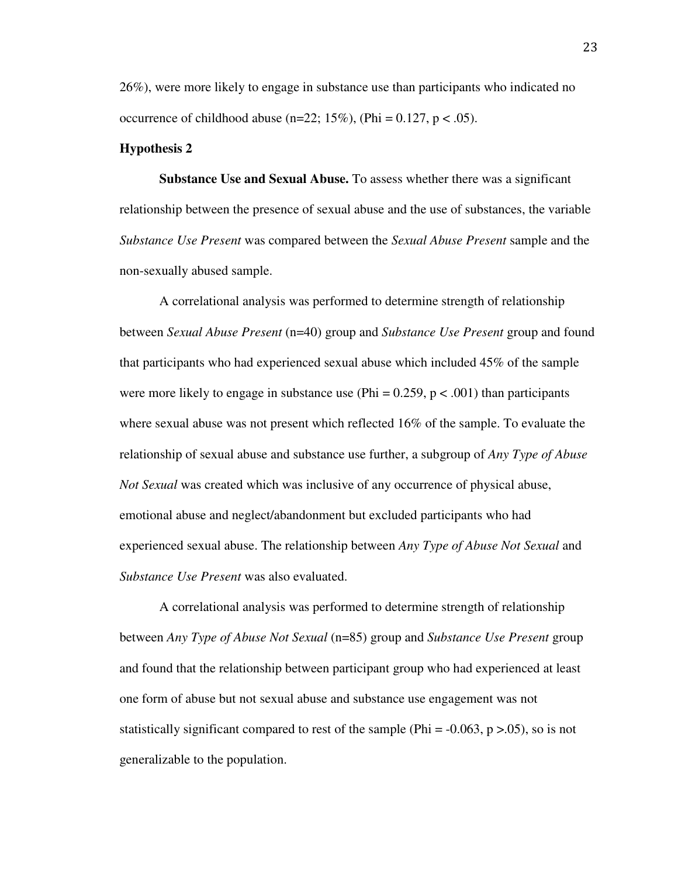26%), were more likely to engage in substance use than participants who indicated no occurrence of childhood abuse (n=22; 15%), (Phi =  $0.127$ , p <  $.05$ ).

#### **Hypothesis 2**

**Substance Use and Sexual Abuse.** To assess whether there was a significant relationship between the presence of sexual abuse and the use of substances, the variable *Substance Use Present* was compared between the *Sexual Abuse Present* sample and the non-sexually abused sample.

A correlational analysis was performed to determine strength of relationship between *Sexual Abuse Present* (n=40) group and *Substance Use Present* group and found that participants who had experienced sexual abuse which included 45% of the sample were more likely to engage in substance use (Phi =  $0.259$ ,  $p < .001$ ) than participants where sexual abuse was not present which reflected 16% of the sample. To evaluate the relationship of sexual abuse and substance use further, a subgroup of *Any Type of Abuse Not Sexual* was created which was inclusive of any occurrence of physical abuse, emotional abuse and neglect/abandonment but excluded participants who had experienced sexual abuse. The relationship between *Any Type of Abuse Not Sexual* and *Substance Use Present* was also evaluated.

A correlational analysis was performed to determine strength of relationship between *Any Type of Abuse Not Sexual* (n=85) group and *Substance Use Present* group and found that the relationship between participant group who had experienced at least one form of abuse but not sexual abuse and substance use engagement was not statistically significant compared to rest of the sample (Phi =  $-0.063$ , p  $>0.05$ ), so is not generalizable to the population.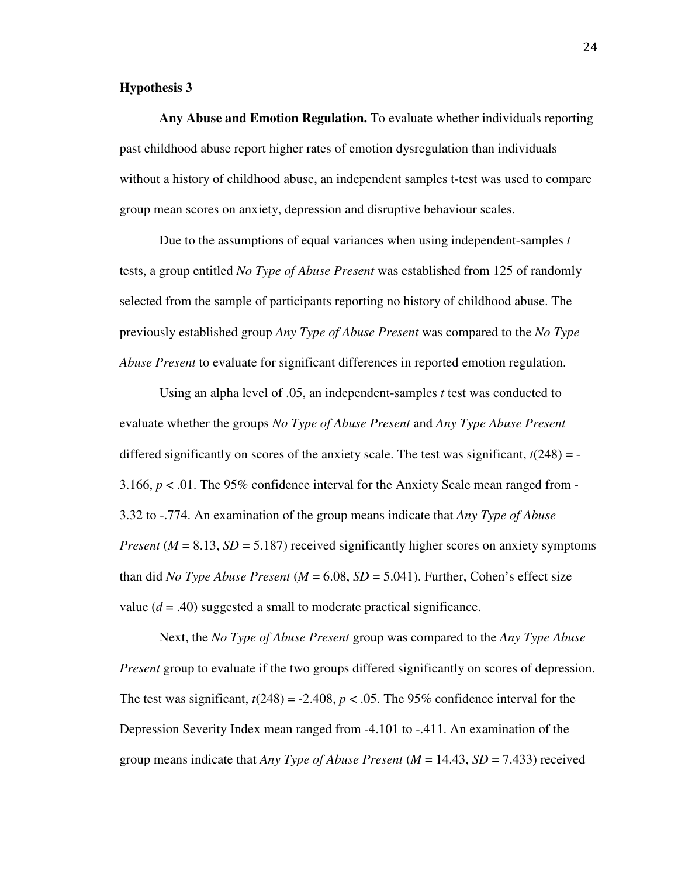### **Hypothesis 3**

**Any Abuse and Emotion Regulation.** To evaluate whether individuals reporting past childhood abuse report higher rates of emotion dysregulation than individuals without a history of childhood abuse, an independent samples t-test was used to compare group mean scores on anxiety, depression and disruptive behaviour scales.

Due to the assumptions of equal variances when using independent-samples *t*  tests, a group entitled *No Type of Abuse Present* was established from 125 of randomly selected from the sample of participants reporting no history of childhood abuse. The previously established group *Any Type of Abuse Present* was compared to the *No Type Abuse Present* to evaluate for significant differences in reported emotion regulation.

Using an alpha level of .05, an independent-samples *t* test was conducted to evaluate whether the groups *No Type of Abuse Present* and *Any Type Abuse Present* differed significantly on scores of the anxiety scale. The test was significant,  $t(248) = -$ 3.166, *p* < .01. The 95% confidence interval for the Anxiety Scale mean ranged from - 3.32 to -.774. An examination of the group means indicate that *Any Type of Abuse Present* ( $M = 8.13$ ,  $SD = 5.187$ ) received significantly higher scores on anxiety symptoms than did *No Type Abuse Present* ( $M = 6.08$ ,  $SD = 5.041$ ). Further, Cohen's effect size value  $(d = .40)$  suggested a small to moderate practical significance.

Next, the *No Type of Abuse Present* group was compared to the *Any Type Abuse Present* group to evaluate if the two groups differed significantly on scores of depression. The test was significant,  $t(248) = -2.408$ ,  $p < .05$ . The 95% confidence interval for the Depression Severity Index mean ranged from -4.101 to -.411. An examination of the group means indicate that *Any Type of Abuse Present* (*M* = 14.43, *SD* = 7.433) received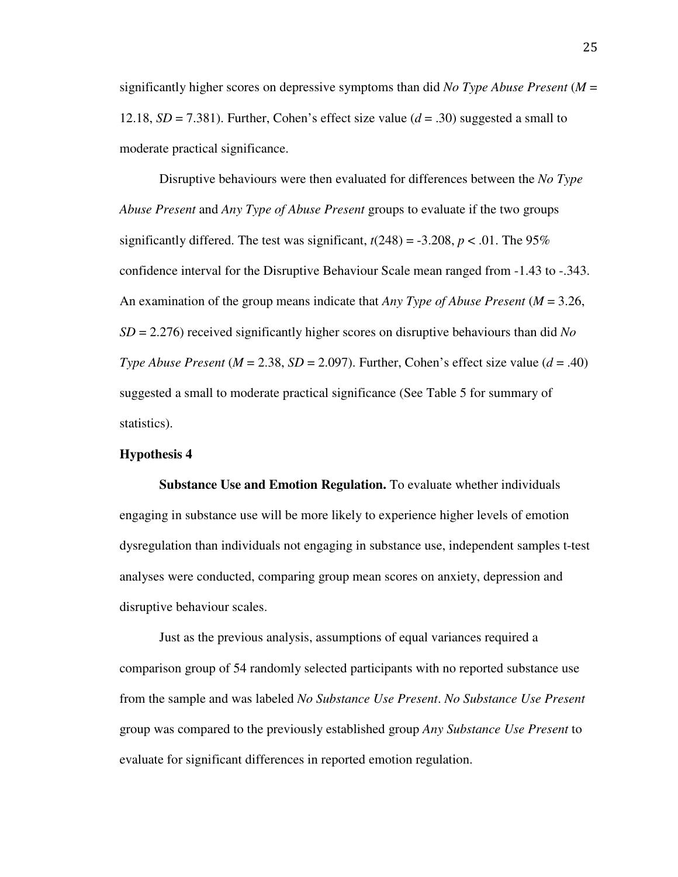significantly higher scores on depressive symptoms than did *No Type Abuse Present* (*M* = 12.18,  $SD = 7.381$ ). Further, Cohen's effect size value ( $d = .30$ ) suggested a small to moderate practical significance.

Disruptive behaviours were then evaluated for differences between the *No Type Abuse Present* and *Any Type of Abuse Present* groups to evaluate if the two groups significantly differed. The test was significant,  $t(248) = -3.208$ ,  $p < .01$ . The 95% confidence interval for the Disruptive Behaviour Scale mean ranged from -1.43 to -.343. An examination of the group means indicate that *Any Type of Abuse Present* (*M* = 3.26, *SD* = 2.276) received significantly higher scores on disruptive behaviours than did *No Type Abuse Present* ( $M = 2.38$ ,  $SD = 2.097$ ). Further, Cohen's effect size value ( $d = .40$ ) suggested a small to moderate practical significance (See Table 5 for summary of statistics).

#### **Hypothesis 4**

**Substance Use and Emotion Regulation.** To evaluate whether individuals engaging in substance use will be more likely to experience higher levels of emotion dysregulation than individuals not engaging in substance use, independent samples t-test analyses were conducted, comparing group mean scores on anxiety, depression and disruptive behaviour scales.

Just as the previous analysis, assumptions of equal variances required a comparison group of 54 randomly selected participants with no reported substance use from the sample and was labeled *No Substance Use Present*. *No Substance Use Present* group was compared to the previously established group *Any Substance Use Present* to evaluate for significant differences in reported emotion regulation.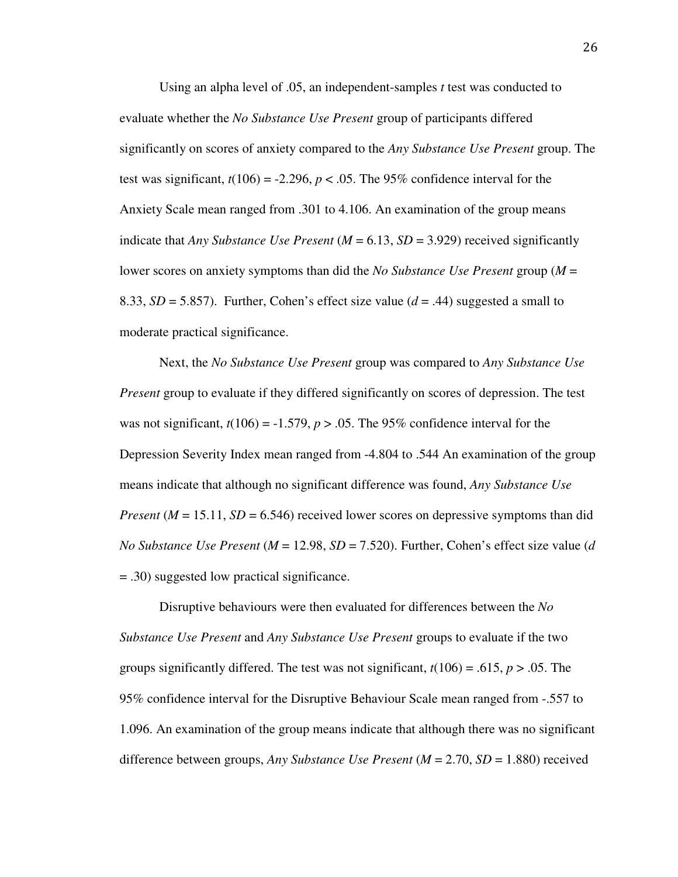Using an alpha level of .05, an independent-samples *t* test was conducted to evaluate whether the *No Substance Use Present* group of participants differed significantly on scores of anxiety compared to the *Any Substance Use Present* group. The test was significant,  $t(106) = -2.296$ ,  $p < .05$ . The 95% confidence interval for the Anxiety Scale mean ranged from .301 to 4.106. An examination of the group means indicate that *Any Substance Use Present*  $(M = 6.13, SD = 3.929)$  received significantly lower scores on anxiety symptoms than did the *No Substance Use Present* group (*M* = 8.33,  $SD = 5.857$ ). Further, Cohen's effect size value ( $d = .44$ ) suggested a small to moderate practical significance.

Next, the *No Substance Use Present* group was compared to *Any Substance Use Present* group to evaluate if they differed significantly on scores of depression. The test was not significant,  $t(106) = -1.579$ ,  $p > .05$ . The 95% confidence interval for the Depression Severity Index mean ranged from -4.804 to .544 An examination of the group means indicate that although no significant difference was found, *Any Substance Use Present* ( $M = 15.11$ ,  $SD = 6.546$ ) received lower scores on depressive symptoms than did *No Substance Use Present* (*M* = 12.98, *SD* = 7.520). Further, Cohen's effect size value (*d*  = .30) suggested low practical significance.

Disruptive behaviours were then evaluated for differences between the *No Substance Use Present* and *Any Substance Use Present* groups to evaluate if the two groups significantly differed. The test was not significant, *t*(106) = .615, *p* > .05. The 95% confidence interval for the Disruptive Behaviour Scale mean ranged from -.557 to 1.096. An examination of the group means indicate that although there was no significant difference between groups, *Any Substance Use Present* (*M* = 2.70, *SD* = 1.880) received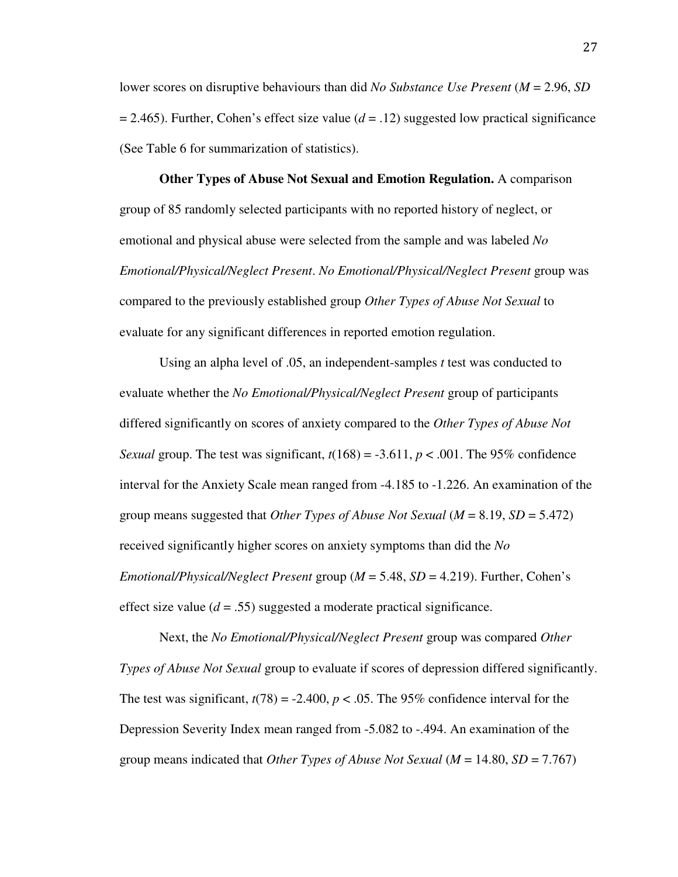lower scores on disruptive behaviours than did *No Substance Use Present* (*M* = 2.96, *SD*  = 2.465). Further, Cohen's effect size value (*d* = .12) suggested low practical significance (See Table 6 for summarization of statistics).

**Other Types of Abuse Not Sexual and Emotion Regulation.** A comparison group of 85 randomly selected participants with no reported history of neglect, or emotional and physical abuse were selected from the sample and was labeled *No Emotional/Physical/Neglect Present*. *No Emotional/Physical/Neglect Present* group was compared to the previously established group *Other Types of Abuse Not Sexual* to evaluate for any significant differences in reported emotion regulation.

Using an alpha level of .05, an independent-samples *t* test was conducted to evaluate whether the *No Emotional/Physical/Neglect Present* group of participants differed significantly on scores of anxiety compared to the *Other Types of Abuse Not Sexual* group. The test was significant,  $t(168) = -3.611$ ,  $p < .001$ . The 95% confidence interval for the Anxiety Scale mean ranged from -4.185 to -1.226. An examination of the group means suggested that *Other Types of Abuse Not Sexual* (*M* = 8.19, *SD* = 5.472) received significantly higher scores on anxiety symptoms than did the *No Emotional/Physical/Neglect Present* group (*M* = 5.48, *SD* = 4.219). Further, Cohen's effect size value  $(d = .55)$  suggested a moderate practical significance.

Next, the *No Emotional/Physical/Neglect Present* group was compared *Other Types of Abuse Not Sexual* group to evaluate if scores of depression differed significantly. The test was significant,  $t(78) = -2.400$ ,  $p < .05$ . The 95% confidence interval for the Depression Severity Index mean ranged from -5.082 to -.494. An examination of the group means indicated that *Other Types of Abuse Not Sexual* (*M* = 14.80, *SD* = 7.767)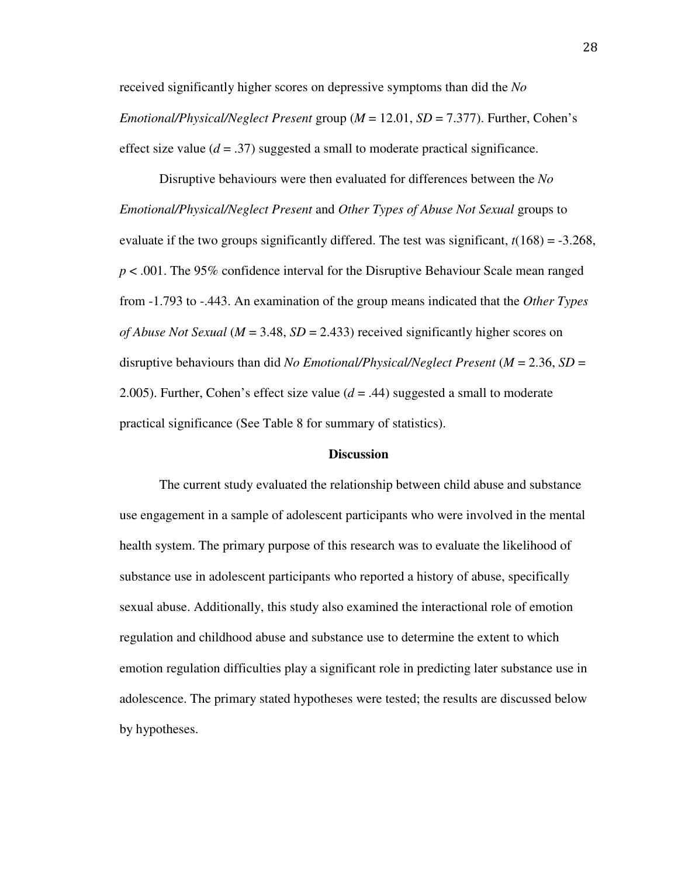received significantly higher scores on depressive symptoms than did the *No Emotional/Physical/Neglect Present* group (*M* = 12.01, *SD* = 7.377). Further, Cohen's effect size value  $(d = .37)$  suggested a small to moderate practical significance.

Disruptive behaviours were then evaluated for differences between the *No Emotional/Physical/Neglect Present* and *Other Types of Abuse Not Sexual* groups to evaluate if the two groups significantly differed. The test was significant, *t*(168) = -3.268, *p* < .001. The 95% confidence interval for the Disruptive Behaviour Scale mean ranged from -1.793 to -.443. An examination of the group means indicated that the *Other Types of Abuse Not Sexual* (*M* = 3.48, *SD* = 2.433) received significantly higher scores on disruptive behaviours than did *No Emotional/Physical/Neglect Present* (*M* = 2.36, *SD* = 2.005). Further, Cohen's effect size value  $(d = .44)$  suggested a small to moderate practical significance (See Table 8 for summary of statistics).

#### **Discussion**

The current study evaluated the relationship between child abuse and substance use engagement in a sample of adolescent participants who were involved in the mental health system. The primary purpose of this research was to evaluate the likelihood of substance use in adolescent participants who reported a history of abuse, specifically sexual abuse. Additionally, this study also examined the interactional role of emotion regulation and childhood abuse and substance use to determine the extent to which emotion regulation difficulties play a significant role in predicting later substance use in adolescence. The primary stated hypotheses were tested; the results are discussed below by hypotheses.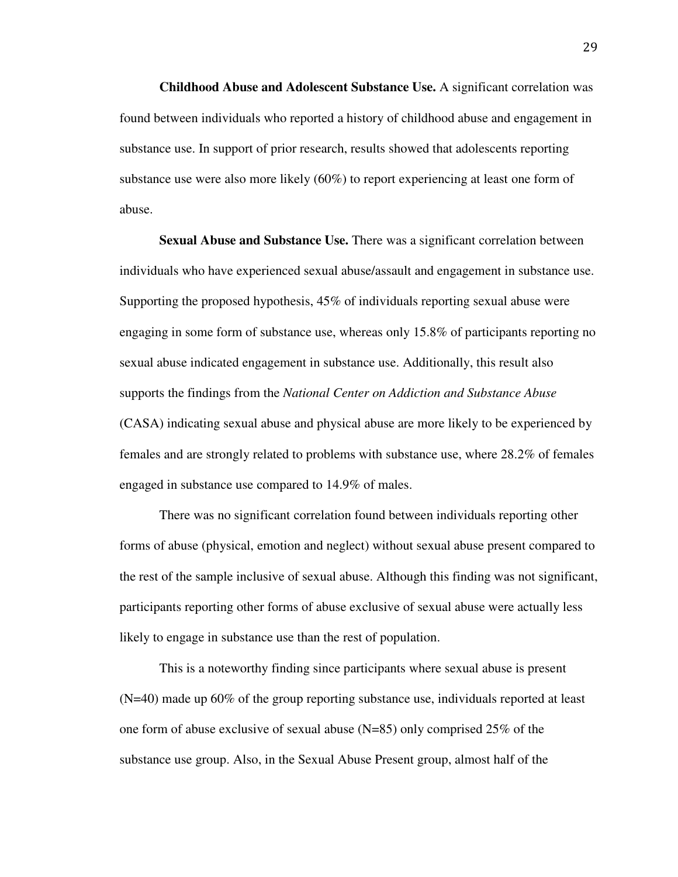**Childhood Abuse and Adolescent Substance Use.** A significant correlation was found between individuals who reported a history of childhood abuse and engagement in substance use. In support of prior research, results showed that adolescents reporting substance use were also more likely (60%) to report experiencing at least one form of abuse.

**Sexual Abuse and Substance Use.** There was a significant correlation between individuals who have experienced sexual abuse/assault and engagement in substance use. Supporting the proposed hypothesis, 45% of individuals reporting sexual abuse were engaging in some form of substance use, whereas only 15.8% of participants reporting no sexual abuse indicated engagement in substance use. Additionally, this result also supports the findings from the *National Center on Addiction and Substance Abuse* (CASA) indicating sexual abuse and physical abuse are more likely to be experienced by females and are strongly related to problems with substance use, where 28.2% of females engaged in substance use compared to 14.9% of males.

There was no significant correlation found between individuals reporting other forms of abuse (physical, emotion and neglect) without sexual abuse present compared to the rest of the sample inclusive of sexual abuse. Although this finding was not significant, participants reporting other forms of abuse exclusive of sexual abuse were actually less likely to engage in substance use than the rest of population.

This is a noteworthy finding since participants where sexual abuse is present (N=40) made up 60% of the group reporting substance use, individuals reported at least one form of abuse exclusive of sexual abuse  $(N=85)$  only comprised 25% of the substance use group. Also, in the Sexual Abuse Present group, almost half of the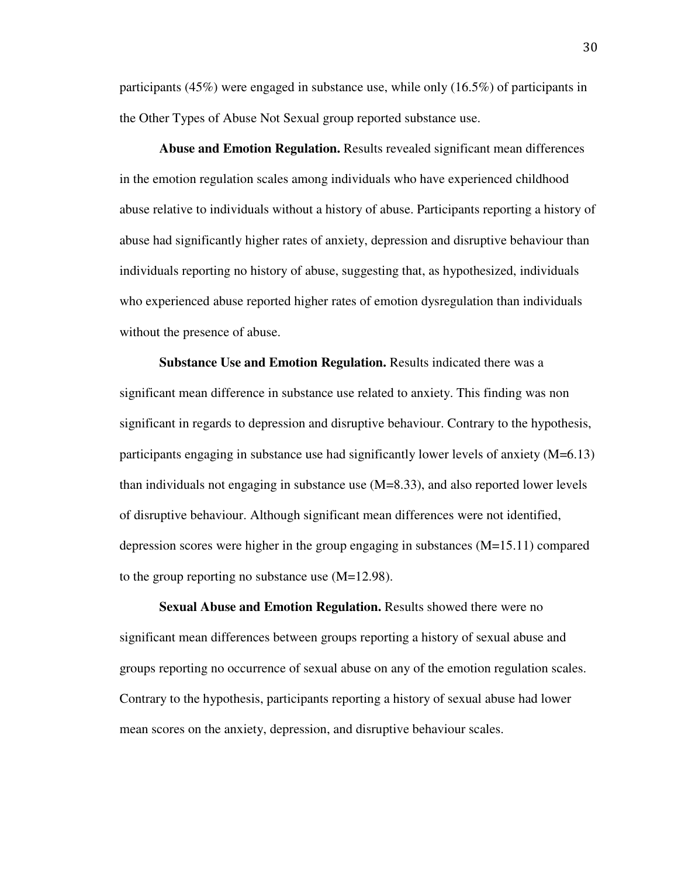participants (45%) were engaged in substance use, while only (16.5%) of participants in the Other Types of Abuse Not Sexual group reported substance use.

**Abuse and Emotion Regulation.** Results revealed significant mean differences in the emotion regulation scales among individuals who have experienced childhood abuse relative to individuals without a history of abuse. Participants reporting a history of abuse had significantly higher rates of anxiety, depression and disruptive behaviour than individuals reporting no history of abuse, suggesting that, as hypothesized, individuals who experienced abuse reported higher rates of emotion dysregulation than individuals without the presence of abuse.

**Substance Use and Emotion Regulation.** Results indicated there was a significant mean difference in substance use related to anxiety. This finding was non significant in regards to depression and disruptive behaviour. Contrary to the hypothesis, participants engaging in substance use had significantly lower levels of anxiety (M=6.13) than individuals not engaging in substance use (M=8.33), and also reported lower levels of disruptive behaviour. Although significant mean differences were not identified, depression scores were higher in the group engaging in substances (M=15.11) compared to the group reporting no substance use (M=12.98).

**Sexual Abuse and Emotion Regulation.** Results showed there were no significant mean differences between groups reporting a history of sexual abuse and groups reporting no occurrence of sexual abuse on any of the emotion regulation scales. Contrary to the hypothesis, participants reporting a history of sexual abuse had lower mean scores on the anxiety, depression, and disruptive behaviour scales.

30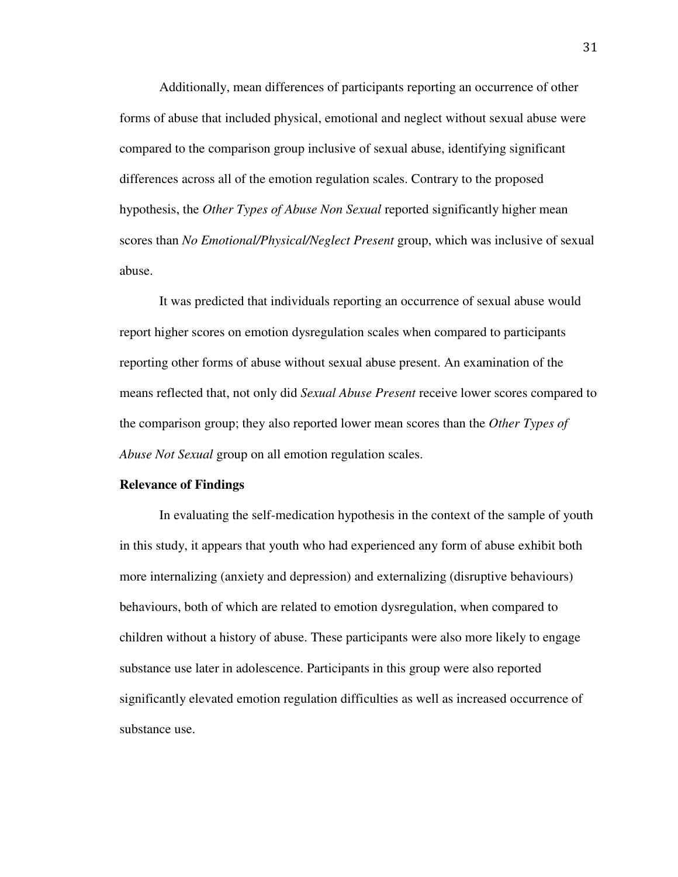Additionally, mean differences of participants reporting an occurrence of other forms of abuse that included physical, emotional and neglect without sexual abuse were compared to the comparison group inclusive of sexual abuse, identifying significant differences across all of the emotion regulation scales. Contrary to the proposed hypothesis, the *Other Types of Abuse Non Sexual* reported significantly higher mean scores than *No Emotional/Physical/Neglect Present* group, which was inclusive of sexual abuse.

It was predicted that individuals reporting an occurrence of sexual abuse would report higher scores on emotion dysregulation scales when compared to participants reporting other forms of abuse without sexual abuse present. An examination of the means reflected that, not only did *Sexual Abuse Present* receive lower scores compared to the comparison group; they also reported lower mean scores than the *Other Types of Abuse Not Sexual* group on all emotion regulation scales.

#### **Relevance of Findings**

In evaluating the self-medication hypothesis in the context of the sample of youth in this study, it appears that youth who had experienced any form of abuse exhibit both more internalizing (anxiety and depression) and externalizing (disruptive behaviours) behaviours, both of which are related to emotion dysregulation, when compared to children without a history of abuse. These participants were also more likely to engage substance use later in adolescence. Participants in this group were also reported significantly elevated emotion regulation difficulties as well as increased occurrence of substance use.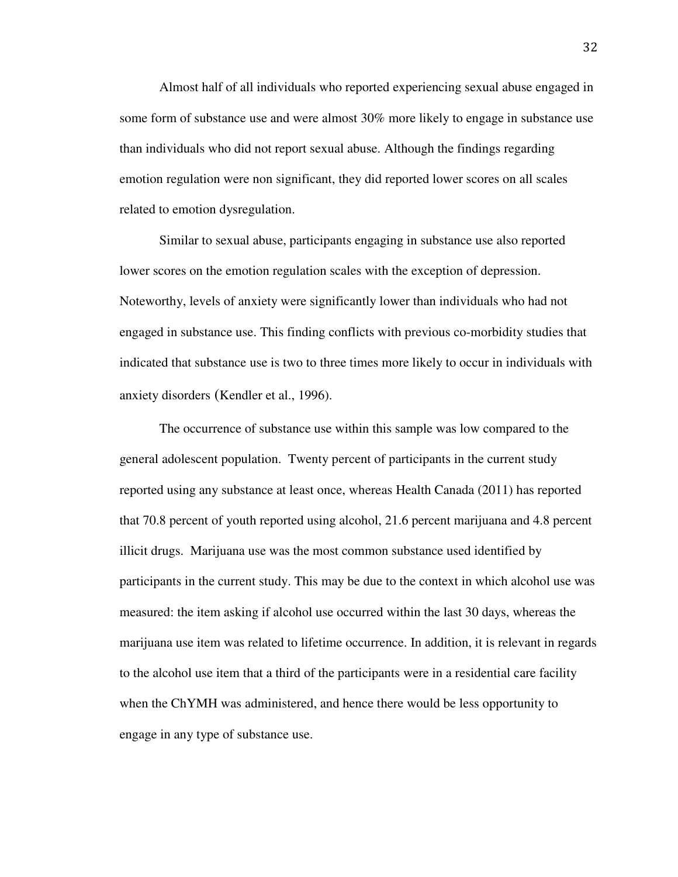Almost half of all individuals who reported experiencing sexual abuse engaged in some form of substance use and were almost 30% more likely to engage in substance use than individuals who did not report sexual abuse. Although the findings regarding emotion regulation were non significant, they did reported lower scores on all scales related to emotion dysregulation.

Similar to sexual abuse, participants engaging in substance use also reported lower scores on the emotion regulation scales with the exception of depression. Noteworthy, levels of anxiety were significantly lower than individuals who had not engaged in substance use. This finding conflicts with previous co-morbidity studies that indicated that substance use is two to three times more likely to occur in individuals with anxiety disorders (Kendler et al., 1996).

The occurrence of substance use within this sample was low compared to the general adolescent population. Twenty percent of participants in the current study reported using any substance at least once, whereas Health Canada (2011) has reported that 70.8 percent of youth reported using alcohol, 21.6 percent marijuana and 4.8 percent illicit drugs. Marijuana use was the most common substance used identified by participants in the current study. This may be due to the context in which alcohol use was measured: the item asking if alcohol use occurred within the last 30 days, whereas the marijuana use item was related to lifetime occurrence. In addition, it is relevant in regards to the alcohol use item that a third of the participants were in a residential care facility when the ChYMH was administered, and hence there would be less opportunity to engage in any type of substance use.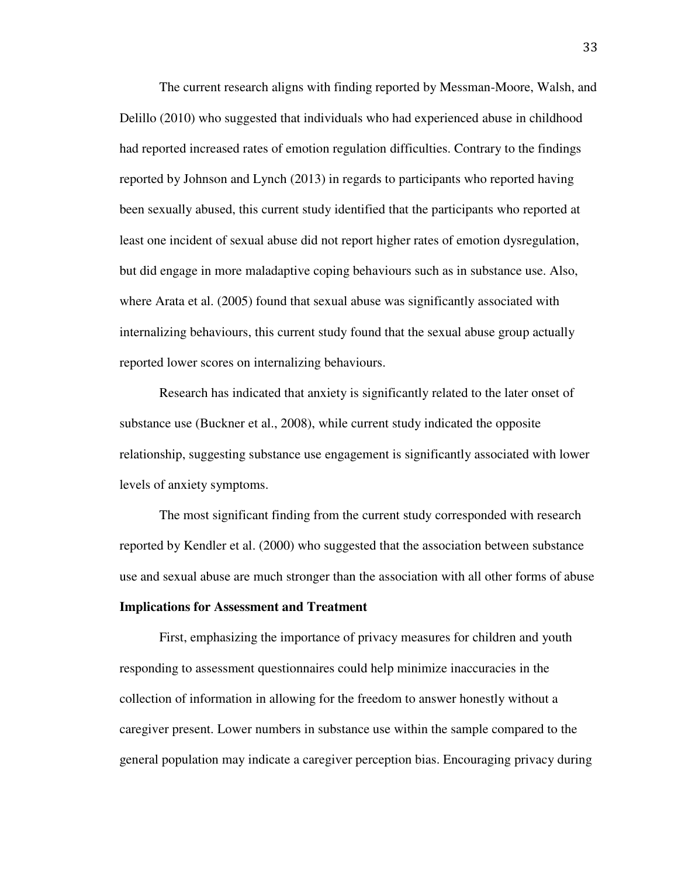The current research aligns with finding reported by Messman-Moore, Walsh, and Delillo (2010) who suggested that individuals who had experienced abuse in childhood had reported increased rates of emotion regulation difficulties. Contrary to the findings reported by Johnson and Lynch (2013) in regards to participants who reported having been sexually abused, this current study identified that the participants who reported at least one incident of sexual abuse did not report higher rates of emotion dysregulation, but did engage in more maladaptive coping behaviours such as in substance use. Also, where Arata et al. (2005) found that sexual abuse was significantly associated with internalizing behaviours, this current study found that the sexual abuse group actually reported lower scores on internalizing behaviours.

Research has indicated that anxiety is significantly related to the later onset of substance use (Buckner et al., 2008), while current study indicated the opposite relationship, suggesting substance use engagement is significantly associated with lower levels of anxiety symptoms.

The most significant finding from the current study corresponded with research reported by Kendler et al. (2000) who suggested that the association between substance use and sexual abuse are much stronger than the association with all other forms of abuse

#### **Implications for Assessment and Treatment**

First, emphasizing the importance of privacy measures for children and youth responding to assessment questionnaires could help minimize inaccuracies in the collection of information in allowing for the freedom to answer honestly without a caregiver present. Lower numbers in substance use within the sample compared to the general population may indicate a caregiver perception bias. Encouraging privacy during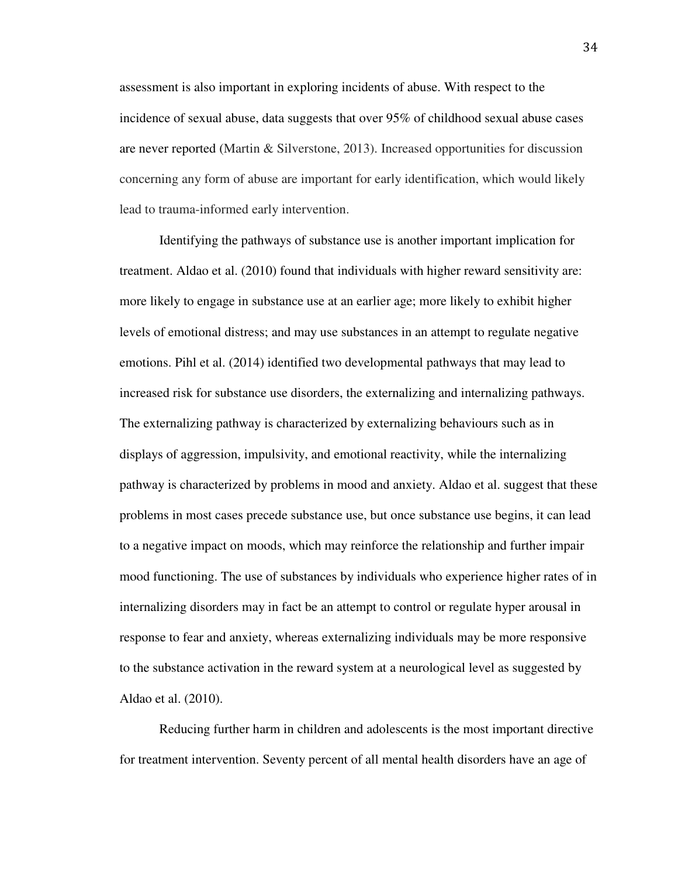assessment is also important in exploring incidents of abuse. With respect to the incidence of sexual abuse, data suggests that over 95% of childhood sexual abuse cases are never reported (Martin & Silverstone, 2013). Increased opportunities for discussion concerning any form of abuse are important for early identification, which would likely lead to trauma-informed early intervention.

Identifying the pathways of substance use is another important implication for treatment. Aldao et al. (2010) found that individuals with higher reward sensitivity are: more likely to engage in substance use at an earlier age; more likely to exhibit higher levels of emotional distress; and may use substances in an attempt to regulate negative emotions. Pihl et al. (2014) identified two developmental pathways that may lead to increased risk for substance use disorders, the externalizing and internalizing pathways. The externalizing pathway is characterized by externalizing behaviours such as in displays of aggression, impulsivity, and emotional reactivity, while the internalizing pathway is characterized by problems in mood and anxiety. Aldao et al. suggest that these problems in most cases precede substance use, but once substance use begins, it can lead to a negative impact on moods, which may reinforce the relationship and further impair mood functioning. The use of substances by individuals who experience higher rates of in internalizing disorders may in fact be an attempt to control or regulate hyper arousal in response to fear and anxiety, whereas externalizing individuals may be more responsive to the substance activation in the reward system at a neurological level as suggested by Aldao et al. (2010).

Reducing further harm in children and adolescents is the most important directive for treatment intervention. Seventy percent of all mental health disorders have an age of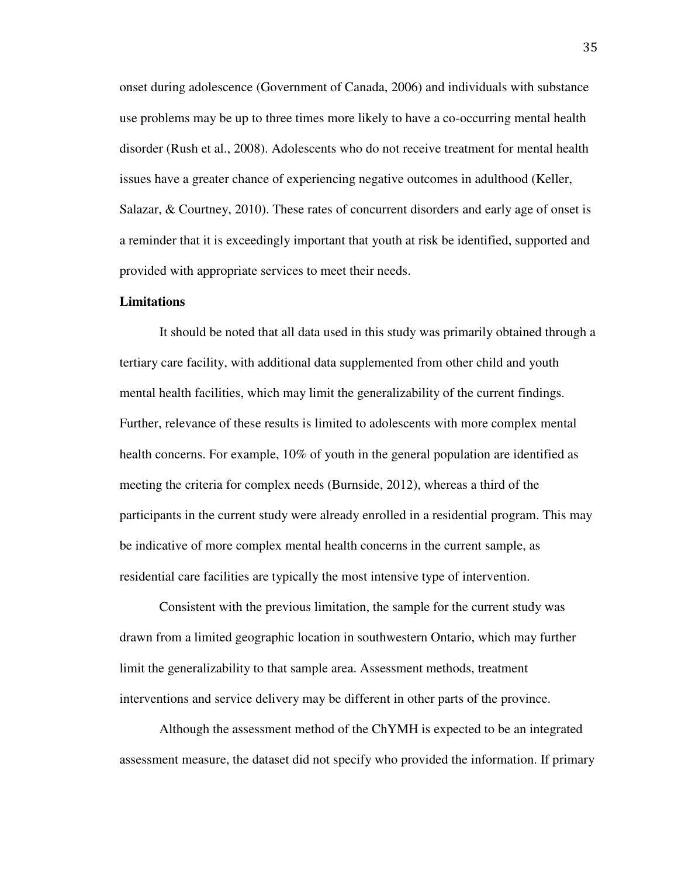onset during adolescence (Government of Canada, 2006) and individuals with substance use problems may be up to three times more likely to have a co-occurring mental health disorder (Rush et al., 2008). Adolescents who do not receive treatment for mental health issues have a greater chance of experiencing negative outcomes in adulthood (Keller, Salazar, & Courtney, 2010). These rates of concurrent disorders and early age of onset is a reminder that it is exceedingly important that youth at risk be identified, supported and provided with appropriate services to meet their needs.

#### **Limitations**

It should be noted that all data used in this study was primarily obtained through a tertiary care facility, with additional data supplemented from other child and youth mental health facilities, which may limit the generalizability of the current findings. Further, relevance of these results is limited to adolescents with more complex mental health concerns. For example, 10% of youth in the general population are identified as meeting the criteria for complex needs (Burnside, 2012), whereas a third of the participants in the current study were already enrolled in a residential program. This may be indicative of more complex mental health concerns in the current sample, as residential care facilities are typically the most intensive type of intervention.

 Consistent with the previous limitation, the sample for the current study was drawn from a limited geographic location in southwestern Ontario, which may further limit the generalizability to that sample area. Assessment methods, treatment interventions and service delivery may be different in other parts of the province.

Although the assessment method of the ChYMH is expected to be an integrated assessment measure, the dataset did not specify who provided the information. If primary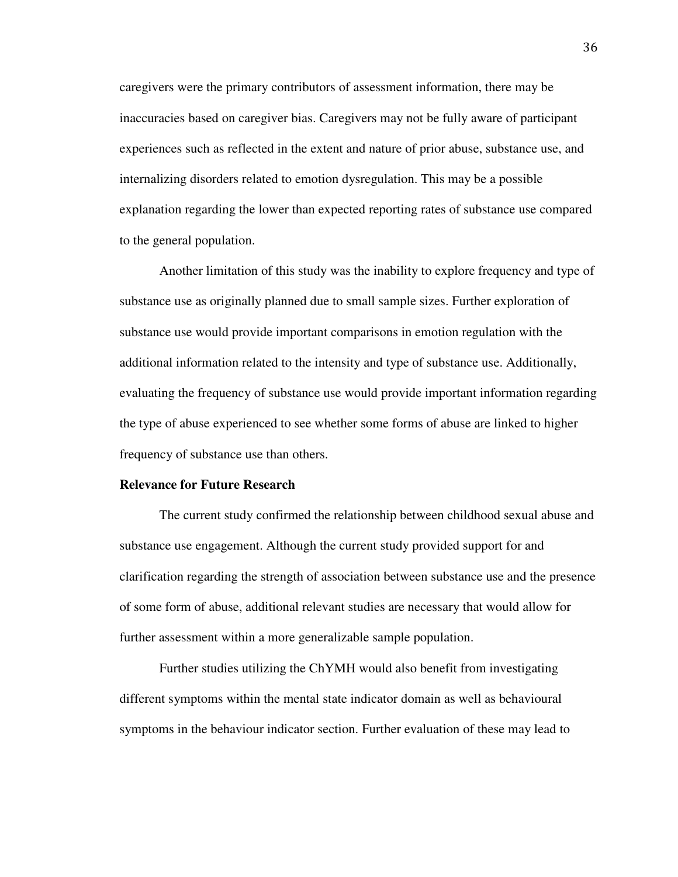caregivers were the primary contributors of assessment information, there may be inaccuracies based on caregiver bias. Caregivers may not be fully aware of participant experiences such as reflected in the extent and nature of prior abuse, substance use, and internalizing disorders related to emotion dysregulation. This may be a possible explanation regarding the lower than expected reporting rates of substance use compared to the general population.

Another limitation of this study was the inability to explore frequency and type of substance use as originally planned due to small sample sizes. Further exploration of substance use would provide important comparisons in emotion regulation with the additional information related to the intensity and type of substance use. Additionally, evaluating the frequency of substance use would provide important information regarding the type of abuse experienced to see whether some forms of abuse are linked to higher frequency of substance use than others.

#### **Relevance for Future Research**

The current study confirmed the relationship between childhood sexual abuse and substance use engagement. Although the current study provided support for and clarification regarding the strength of association between substance use and the presence of some form of abuse, additional relevant studies are necessary that would allow for further assessment within a more generalizable sample population.

Further studies utilizing the ChYMH would also benefit from investigating different symptoms within the mental state indicator domain as well as behavioural symptoms in the behaviour indicator section. Further evaluation of these may lead to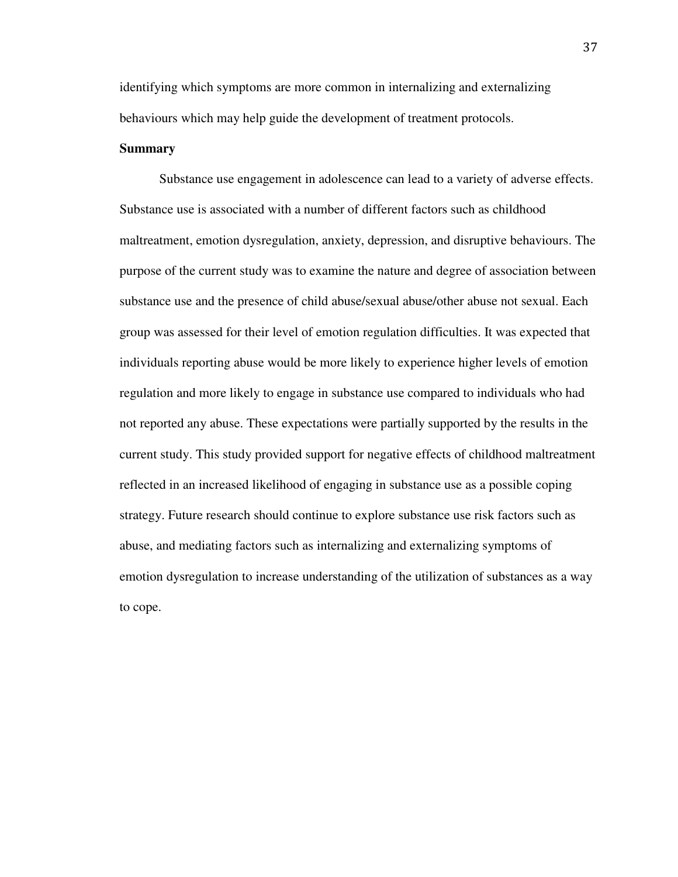identifying which symptoms are more common in internalizing and externalizing behaviours which may help guide the development of treatment protocols.

### **Summary**

Substance use engagement in adolescence can lead to a variety of adverse effects. Substance use is associated with a number of different factors such as childhood maltreatment, emotion dysregulation, anxiety, depression, and disruptive behaviours. The purpose of the current study was to examine the nature and degree of association between substance use and the presence of child abuse/sexual abuse/other abuse not sexual. Each group was assessed for their level of emotion regulation difficulties. It was expected that individuals reporting abuse would be more likely to experience higher levels of emotion regulation and more likely to engage in substance use compared to individuals who had not reported any abuse. These expectations were partially supported by the results in the current study. This study provided support for negative effects of childhood maltreatment reflected in an increased likelihood of engaging in substance use as a possible coping strategy. Future research should continue to explore substance use risk factors such as abuse, and mediating factors such as internalizing and externalizing symptoms of emotion dysregulation to increase understanding of the utilization of substances as a way to cope.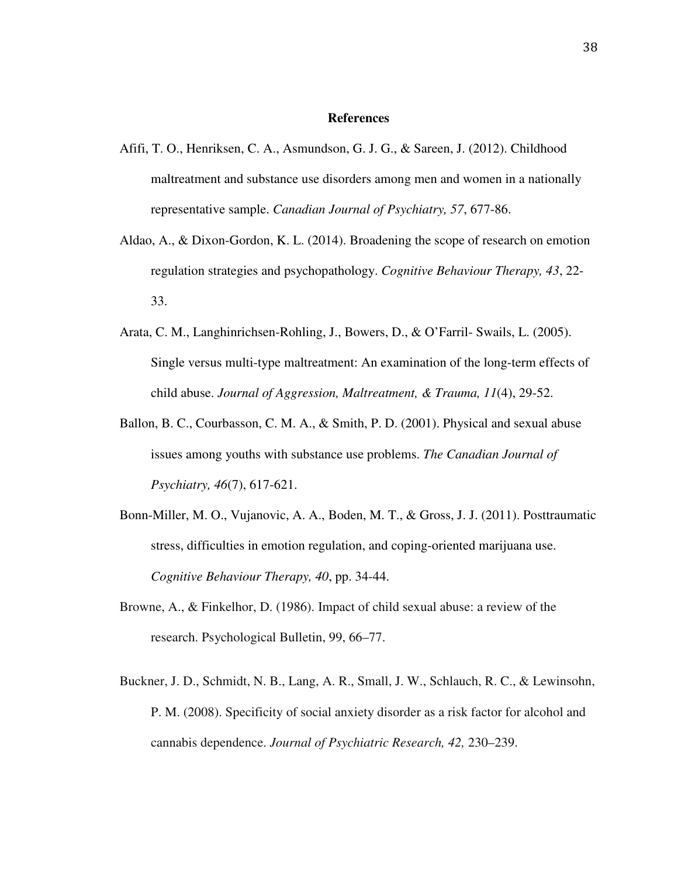#### **References**

- Afifi, T. O., Henriksen, C. A., Asmundson, G. J. G., & Sareen, J. (2012). Childhood maltreatment and substance use disorders among men and women in a nationally representative sample. *Canadian Journal of Psychiatry, 57*, 677-86.
- Aldao, A., & Dixon-Gordon, K. L. (2014). Broadening the scope of research on emotion regulation strategies and psychopathology. *Cognitive Behaviour Therapy, 43*, 22- 33.
- Arata, C. M., Langhinrichsen-Rohling, J., Bowers, D., & O'Farril- Swails, L. (2005). Single versus multi-type maltreatment: An examination of the long-term effects of child abuse. *Journal of Aggression, Maltreatment, & Trauma, 11*(4), 29-52.
- Ballon, B. C., Courbasson, C. M. A., & Smith, P. D. (2001). Physical and sexual abuse issues among youths with substance use problems. *The Canadian Journal of Psychiatry, 46*(7), 617-621.
- Bonn-Miller, M. O., Vujanovic, A. A., Boden, M. T., & Gross, J. J. (2011). Posttraumatic stress, difficulties in emotion regulation, and coping-oriented marijuana use. *Cognitive Behaviour Therapy, 40*, pp. 34-44.
- Browne, A., & Finkelhor, D. (1986). Impact of child sexual abuse: a review of the research. Psychological Bulletin, 99, 66–77.
- Buckner, J. D., Schmidt, N. B., Lang, A. R., Small, J. W., Schlauch, R. C., & Lewinsohn, P. M. (2008). Specificity of social anxiety disorder as a risk factor for alcohol and cannabis dependence. *Journal of Psychiatric Research, 42,* 230–239.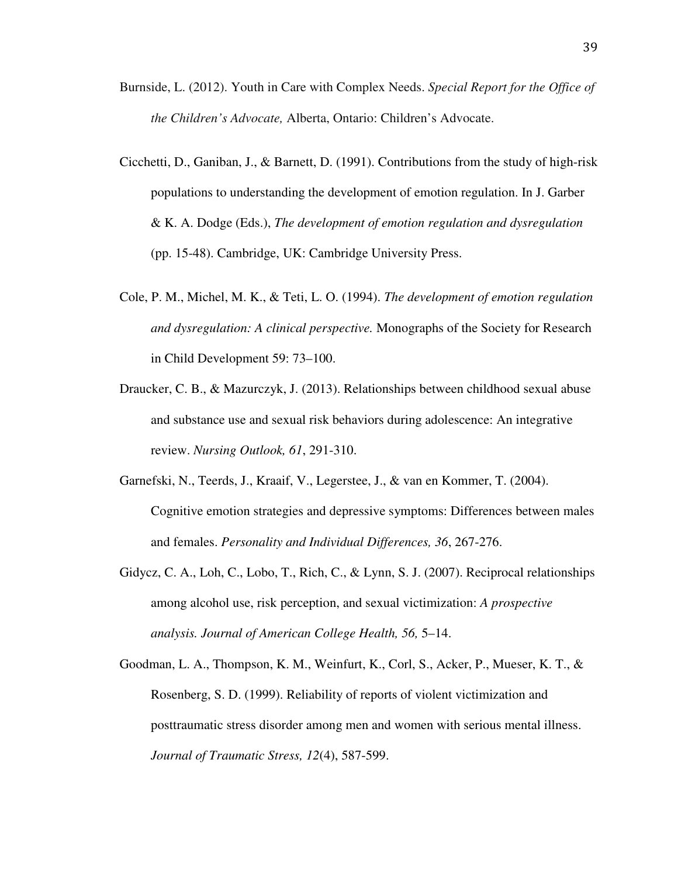- Burnside, L. (2012). Youth in Care with Complex Needs. *Special Report for the Office of the Children's Advocate,* Alberta, Ontario: Children's Advocate.
- Cicchetti, D., Ganiban, J., & Barnett, D. (1991). Contributions from the study of high-risk populations to understanding the development of emotion regulation. In J. Garber & K. A. Dodge (Eds.), *The development of emotion regulation and dysregulation*  (pp. 15-48). Cambridge, UK: Cambridge University Press.
- Cole, P. M., Michel, M. K., & Teti, L. O. (1994). *The development of emotion regulation and dysregulation: A clinical perspective.* Monographs of the Society for Research in Child Development 59: 73–100.
- Draucker, C. B., & Mazurczyk, J. (2013). Relationships between childhood sexual abuse and substance use and sexual risk behaviors during adolescence: An integrative review. *Nursing Outlook, 61*, 291-310.
- Garnefski, N., Teerds, J., Kraaif, V., Legerstee, J., & van en Kommer, T. (2004). Cognitive emotion strategies and depressive symptoms: Differences between males and females. *Personality and Individual Differences, 36*, 267-276.
- Gidycz, C. A., Loh, C., Lobo, T., Rich, C., & Lynn, S. J. (2007). Reciprocal relationships among alcohol use, risk perception, and sexual victimization: *A prospective analysis. Journal of American College Health, 56,* 5–14.
- Goodman, L. A., Thompson, K. M., Weinfurt, K., Corl, S., Acker, P., Mueser, K. T., & Rosenberg, S. D. (1999). Reliability of reports of violent victimization and posttraumatic stress disorder among men and women with serious mental illness. *Journal of Traumatic Stress, 12*(4), 587-599.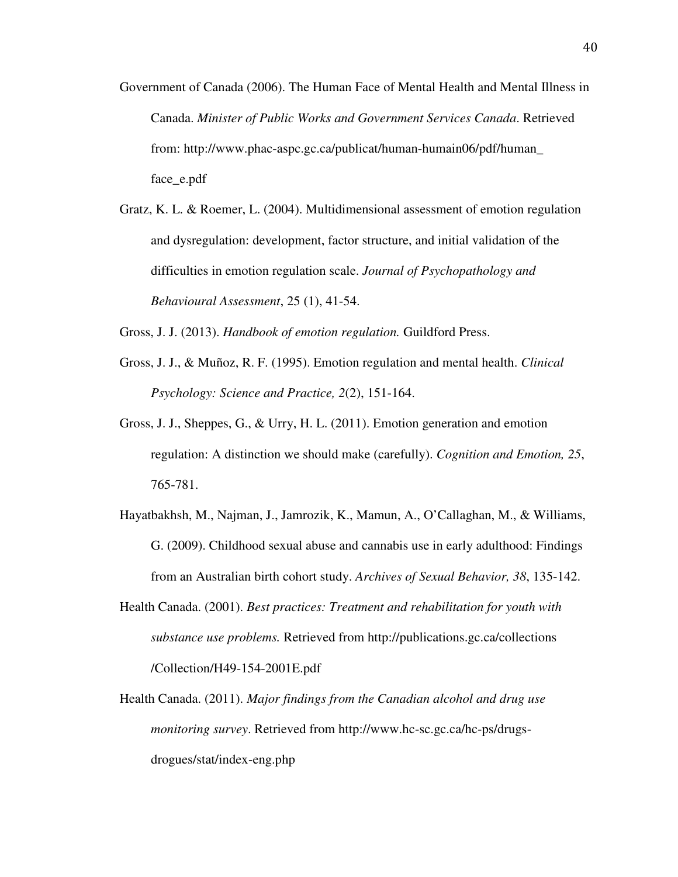- Government of Canada (2006). The Human Face of Mental Health and Mental Illness in Canada. *Minister of Public Works and Government Services Canada*. Retrieved from: http://www.phac-aspc.gc.ca/publicat/human-humain06/pdf/human\_ face\_e.pdf
- Gratz, K. L. & Roemer, L. (2004). Multidimensional assessment of emotion regulation and dysregulation: development, factor structure, and initial validation of the difficulties in emotion regulation scale. *Journal of Psychopathology and Behavioural Assessment*, 25 (1), 41-54.
- Gross, J. J. (2013). *Handbook of emotion regulation.* Guildford Press.
- Gross, J. J., & Muñoz, R. F. (1995). Emotion regulation and mental health. *Clinical Psychology: Science and Practice, 2*(2), 151-164.
- Gross, J. J., Sheppes, G., & Urry, H. L. (2011). Emotion generation and emotion regulation: A distinction we should make (carefully). *Cognition and Emotion, 25*, 765-781.
- Hayatbakhsh, M., Najman, J., Jamrozik, K., Mamun, A., O'Callaghan, M., & Williams, G. (2009). Childhood sexual abuse and cannabis use in early adulthood: Findings from an Australian birth cohort study. *Archives of Sexual Behavior, 38*, 135-142.
- Health Canada. (2001). *Best practices: Treatment and rehabilitation for youth with substance use problems.* Retrieved from http://publications.gc.ca/collections /Collection/H49-154-2001E.pdf
- Health Canada. (2011). *Major findings from the Canadian alcohol and drug use monitoring survey*. Retrieved from http://www.hc-sc.gc.ca/hc-ps/drugsdrogues/stat/index-eng.php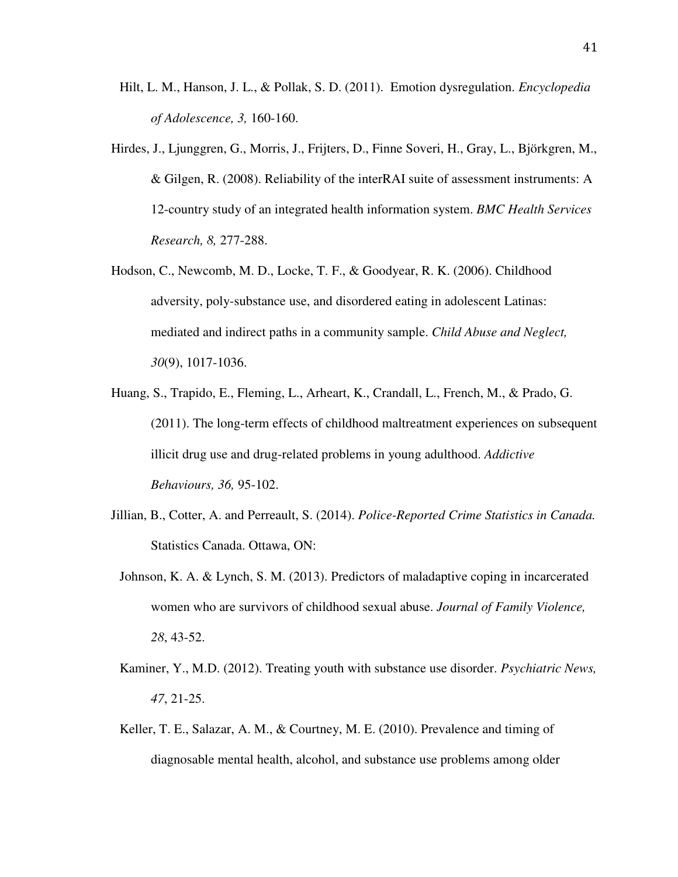- Hilt, L. M., Hanson, J. L., & Pollak, S. D. (2011). Emotion dysregulation. *Encyclopedia of Adolescence, 3,* 160-160.
- Hirdes, J., Ljunggren, G., Morris, J., Frijters, D., Finne Soveri, H., Gray, L., Björkgren, M., & Gilgen, R. (2008). Reliability of the interRAI suite of assessment instruments: A 12-country study of an integrated health information system. *BMC Health Services Research, 8,* 277-288.
- Hodson, C., Newcomb, M. D., Locke, T. F., & Goodyear, R. K. (2006). Childhood adversity, poly-substance use, and disordered eating in adolescent Latinas: mediated and indirect paths in a community sample. *Child Abuse and Neglect, 30*(9), 1017-1036.
- Huang, S., Trapido, E., Fleming, L., Arheart, K., Crandall, L., French, M., & Prado, G. (2011). The long-term effects of childhood maltreatment experiences on subsequent illicit drug use and drug-related problems in young adulthood. *Addictive Behaviours, 36,* 95-102.
- Jillian, B., Cotter, A. and Perreault, S. (2014). *Police-Reported Crime Statistics in Canada.*  Statistics Canada. Ottawa, ON:
- Johnson, K. A. & Lynch, S. M. (2013). Predictors of maladaptive coping in incarcerated women who are survivors of childhood sexual abuse. *Journal of Family Violence, 28*, 43-52.
- Kaminer, Y., M.D. (2012). Treating youth with substance use disorder. *Psychiatric News, 47*, 21-25.
- Keller, T. E., Salazar, A. M., & Courtney, M. E. (2010). Prevalence and timing of diagnosable mental health, alcohol, and substance use problems among older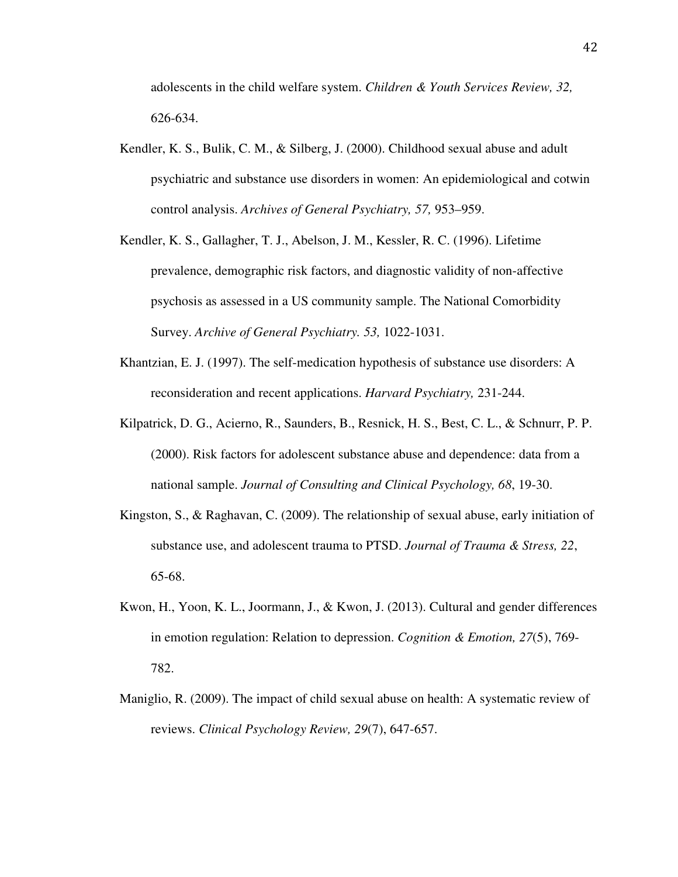adolescents in the child welfare system. *Children & Youth Services Review, 32,*  626-634.

- Kendler, K. S., Bulik, C. M., & Silberg, J. (2000). Childhood sexual abuse and adult psychiatric and substance use disorders in women: An epidemiological and cotwin control analysis. *Archives of General Psychiatry, 57,* 953–959.
- Kendler, K. S., Gallagher, T. J., Abelson, J. M., Kessler, R. C. (1996). Lifetime prevalence, demographic risk factors, and diagnostic validity of non-affective psychosis as assessed in a US community sample. The National Comorbidity Survey. *Archive of General Psychiatry. 53,* 1022-1031.
- Khantzian, E. J. (1997). The self-medication hypothesis of substance use disorders: A reconsideration and recent applications. *Harvard Psychiatry,* 231-244.
- Kilpatrick, D. G., Acierno, R., Saunders, B., Resnick, H. S., Best, C. L., & Schnurr, P. P. (2000). Risk factors for adolescent substance abuse and dependence: data from a national sample. *Journal of Consulting and Clinical Psychology, 68*, 19-30.
- Kingston, S., & Raghavan, C. (2009). The relationship of sexual abuse, early initiation of substance use, and adolescent trauma to PTSD. *Journal of Trauma & Stress, 22*, 65-68.
- Kwon, H., Yoon, K. L., Joormann, J., & Kwon, J. (2013). Cultural and gender differences in emotion regulation: Relation to depression. *Cognition & Emotion, 27*(5), 769- 782.
- Maniglio, R. (2009). The impact of child sexual abuse on health: A systematic review of reviews. *Clinical Psychology Review, 29*(7), 647-657.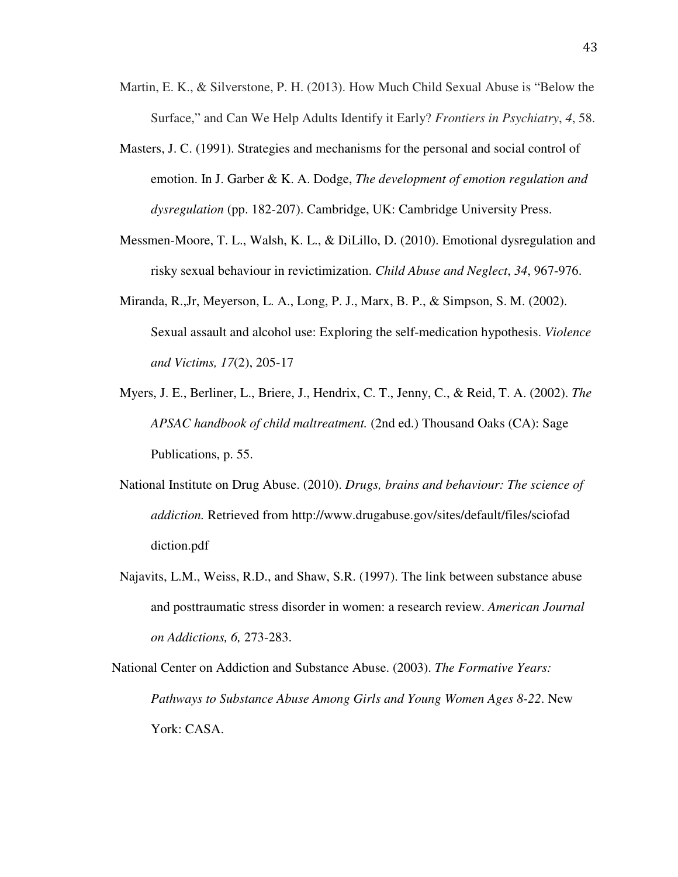- Martin, E. K., & Silverstone, P. H. (2013). How Much Child Sexual Abuse is "Below the Surface," and Can We Help Adults Identify it Early? *Frontiers in Psychiatry*, *4*, 58.
- Masters, J. C. (1991). Strategies and mechanisms for the personal and social control of emotion. In J. Garber & K. A. Dodge, *The development of emotion regulation and dysregulation* (pp. 182-207). Cambridge, UK: Cambridge University Press.
- Messmen-Moore, T. L., Walsh, K. L., & DiLillo, D. (2010). Emotional dysregulation and risky sexual behaviour in revictimization. *Child Abuse and Neglect*, *34*, 967-976.
- Miranda, R.,Jr, Meyerson, L. A., Long, P. J., Marx, B. P., & Simpson, S. M. (2002). Sexual assault and alcohol use: Exploring the self-medication hypothesis. *Violence and Victims, 17*(2), 205-17
- Myers, J. E., Berliner, L., Briere, J., Hendrix, C. T., Jenny, C., & Reid, T. A. (2002). *The APSAC handbook of child maltreatment.* (2nd ed.) Thousand Oaks (CA): Sage Publications, p. 55.
- National Institute on Drug Abuse. (2010). *Drugs, brains and behaviour: The science of addiction.* Retrieved from http://www.drugabuse.gov/sites/default/files/sciofad diction.pdf
- Najavits, L.M., Weiss, R.D., and Shaw, S.R. (1997). The link between substance abuse and posttraumatic stress disorder in women: a research review. *American Journal on Addictions, 6,* 273-283.

National Center on Addiction and Substance Abuse. (2003). *The Formative Years: Pathways to Substance Abuse Among Girls and Young Women Ages 8-22*. New York: CASA.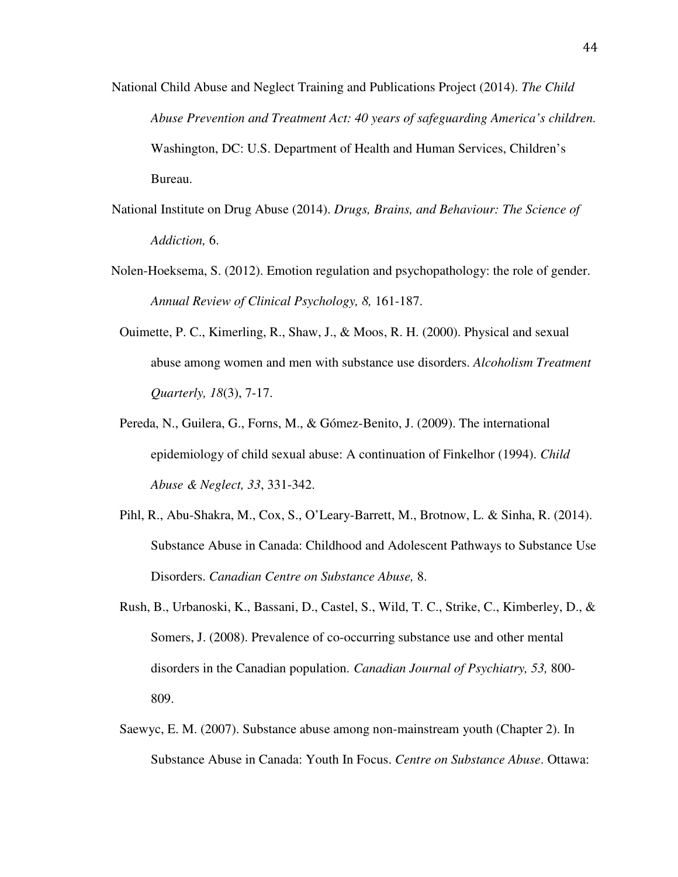- National Child Abuse and Neglect Training and Publications Project (2014). *The Child Abuse Prevention and Treatment Act: 40 years of safeguarding America's children.* Washington, DC: U.S. Department of Health and Human Services, Children's Bureau.
- National Institute on Drug Abuse (2014). *Drugs, Brains, and Behaviour: The Science of Addiction,* 6.
- Nolen-Hoeksema, S. (2012). Emotion regulation and psychopathology: the role of gender. *Annual Review of Clinical Psychology, 8,* 161-187.
	- Ouimette, P. C., Kimerling, R., Shaw, J., & Moos, R. H. (2000). Physical and sexual abuse among women and men with substance use disorders. *Alcoholism Treatment Quarterly, 18*(3), 7-17.
	- Pereda, N., Guilera, G., Forns, M., & Gómez-Benito, J. (2009). The international epidemiology of child sexual abuse: A continuation of Finkelhor (1994). *Child Abuse & Neglect, 33*, 331-342.
	- Pihl, R., Abu-Shakra, M., Cox, S., O'Leary-Barrett, M., Brotnow, L. & Sinha, R. (2014). Substance Abuse in Canada: Childhood and Adolescent Pathways to Substance Use Disorders. *Canadian Centre on Substance Abuse,* 8.
	- Rush, B., Urbanoski, K., Bassani, D., Castel, S., Wild, T. C., Strike, C., Kimberley, D., & Somers, J. (2008). Prevalence of co-occurring substance use and other mental disorders in the Canadian population. *Canadian Journal of Psychiatry, 53,* 800- 809.
	- Saewyc, E. M. (2007). Substance abuse among non-mainstream youth (Chapter 2). In Substance Abuse in Canada: Youth In Focus. *Centre on Substance Abuse*. Ottawa: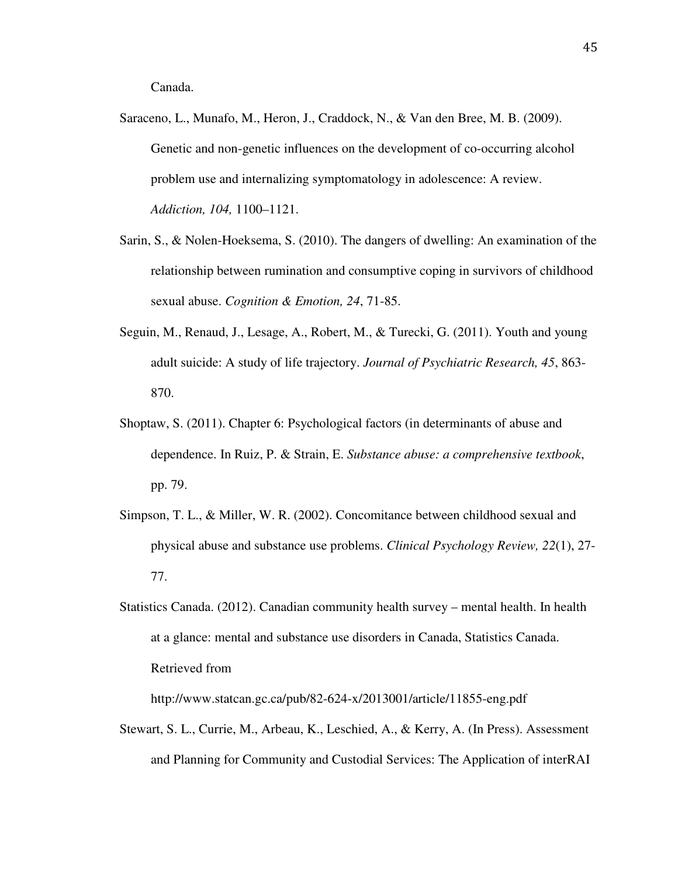Canada.

- Saraceno, L., Munafo, M., Heron, J., Craddock, N., & Van den Bree, M. B. (2009). Genetic and non-genetic influences on the development of co-occurring alcohol problem use and internalizing symptomatology in adolescence: A review. *Addiction, 104,* 1100–1121.
- Sarin, S., & Nolen-Hoeksema, S. (2010). The dangers of dwelling: An examination of the relationship between rumination and consumptive coping in survivors of childhood sexual abuse. *Cognition & Emotion, 24*, 71-85.
- Seguin, M., Renaud, J., Lesage, A., Robert, M., & Turecki, G. (2011). Youth and young adult suicide: A study of life trajectory. *Journal of Psychiatric Research, 45*, 863- 870.
- Shoptaw, S. (2011). Chapter 6: Psychological factors (in determinants of abuse and dependence. In Ruiz, P. & Strain, E. *Substance abuse: a comprehensive textbook*, pp. 79.
- Simpson, T. L., & Miller, W. R. (2002). Concomitance between childhood sexual and physical abuse and substance use problems. *Clinical Psychology Review, 22*(1), 27- 77.
- Statistics Canada. (2012). Canadian community health survey mental health. In health at a glance: mental and substance use disorders in Canada, Statistics Canada. Retrieved from

http://www.statcan.gc.ca/pub/82-624-x/2013001/article/11855-eng.pdf

Stewart, S. L., Currie, M., Arbeau, K., Leschied, A., & Kerry, A. (In Press). Assessment and Planning for Community and Custodial Services: The Application of interRAI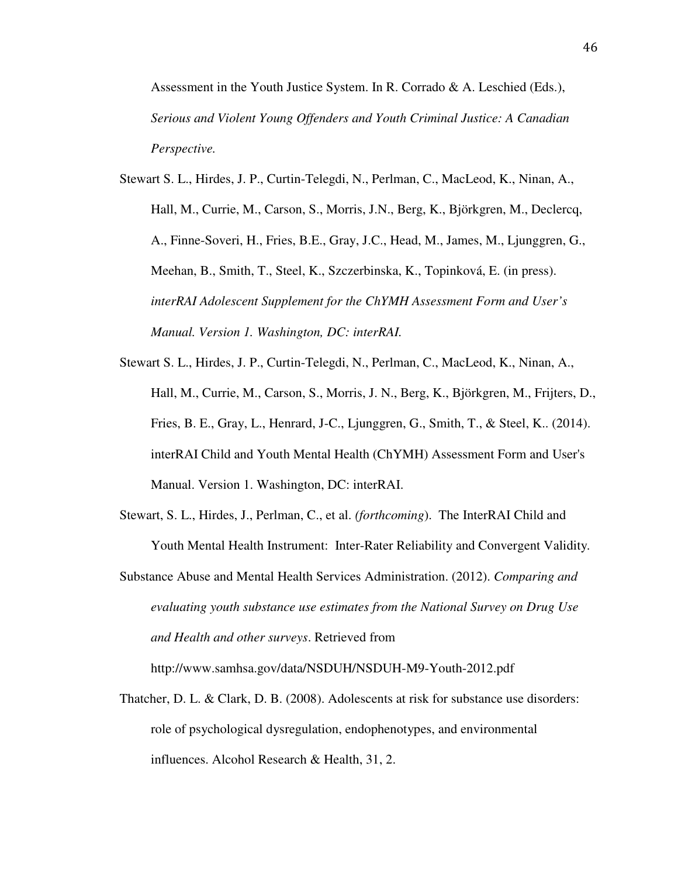Assessment in the Youth Justice System. In R. Corrado  $\&\,A$ . Leschied (Eds.), *Serious and Violent Young Offenders and Youth Criminal Justice: A Canadian Perspective.* 

- Stewart S. L., Hirdes, J. P., Curtin-Telegdi, N., Perlman, C., MacLeod, K., Ninan, A., Hall, M., Currie, M., Carson, S., Morris, J.N., Berg, K., Björkgren, M., Declercq, A., Finne-Soveri, H., Fries, B.E., Gray, J.C., Head, M., James, M., Ljunggren, G., Meehan, B., Smith, T., Steel, K., Szczerbinska, K., Topinková, E. (in press). *interRAI Adolescent Supplement for the ChYMH Assessment Form and User's Manual. Version 1. Washington, DC: interRAI.*
- Stewart S. L., Hirdes, J. P., Curtin-Telegdi, N., Perlman, C., MacLeod, K., Ninan, A., Hall, M., Currie, M., Carson, S., Morris, J. N., Berg, K., Björkgren, M., Frijters, D., Fries, B. E., Gray, L., Henrard, J-C., Ljunggren, G., Smith, T., & Steel, K.. (2014). interRAI Child and Youth Mental Health (ChYMH) Assessment Form and User's Manual. Version 1. Washington, DC: interRAI.
- Stewart, S. L., Hirdes, J., Perlman, C., et al. *(forthcoming*). The InterRAI Child and Youth Mental Health Instrument: Inter-Rater Reliability and Convergent Validity*.*
- Substance Abuse and Mental Health Services Administration. (2012). *Comparing and evaluating youth substance use estimates from the National Survey on Drug Use and Health and other surveys*. Retrieved from

http://www.samhsa.gov/data/NSDUH/NSDUH-M9-Youth-2012.pdf

Thatcher, D. L. & Clark, D. B. (2008). Adolescents at risk for substance use disorders: role of psychological dysregulation, endophenotypes, and environmental influences. Alcohol Research & Health, 31, 2.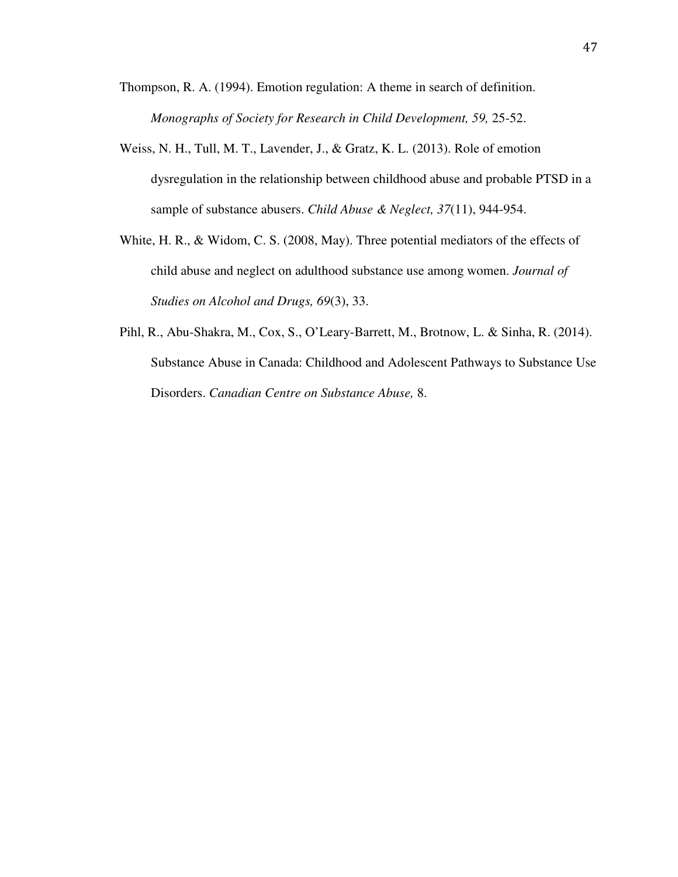- Thompson, R. A. (1994). Emotion regulation: A theme in search of definition. *Monographs of Society for Research in Child Development, 59,* 25-52.
- Weiss, N. H., Tull, M. T., Lavender, J., & Gratz, K. L. (2013). Role of emotion dysregulation in the relationship between childhood abuse and probable PTSD in a sample of substance abusers. *Child Abuse & Neglect, 37*(11), 944-954.
- White, H. R., & Widom, C. S. (2008, May). Three potential mediators of the effects of child abuse and neglect on adulthood substance use among women. *Journal of Studies on Alcohol and Drugs, 69*(3), 33.
- Pihl, R., Abu-Shakra, M., Cox, S., O'Leary-Barrett, M., Brotnow, L. & Sinha, R. (2014). Substance Abuse in Canada: Childhood and Adolescent Pathways to Substance Use Disorders. *Canadian Centre on Substance Abuse,* 8.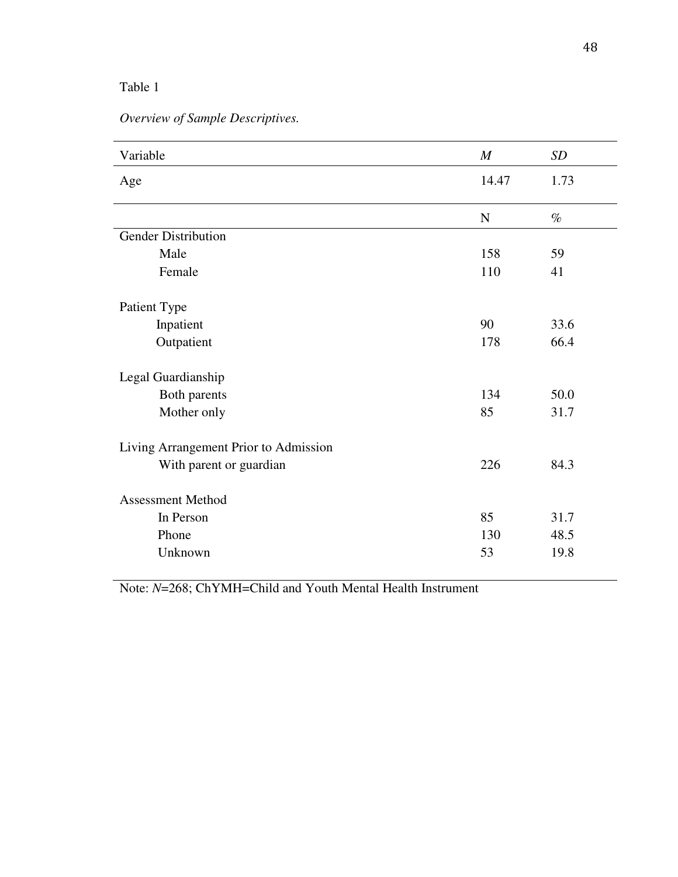*Overview of Sample Descriptives.* 

| Variable                              | $\boldsymbol{M}$ | SD   |
|---------------------------------------|------------------|------|
| Age                                   | 14.47            | 1.73 |
|                                       |                  |      |
|                                       | N                | $\%$ |
| <b>Gender Distribution</b>            |                  |      |
| Male                                  | 158              | 59   |
| Female                                | 110              | 41   |
| Patient Type                          |                  |      |
| Inpatient                             | 90               | 33.6 |
| Outpatient                            | 178              | 66.4 |
| Legal Guardianship                    |                  |      |
| Both parents                          | 134              | 50.0 |
| Mother only                           | 85               | 31.7 |
| Living Arrangement Prior to Admission |                  |      |
| With parent or guardian               | 226              | 84.3 |
| <b>Assessment Method</b>              |                  |      |
| In Person                             | 85               | 31.7 |
| Phone                                 | 130              | 48.5 |
| Unknown                               | 53               | 19.8 |
|                                       |                  |      |

Note: *N*=268; ChYMH=Child and Youth Mental Health Instrument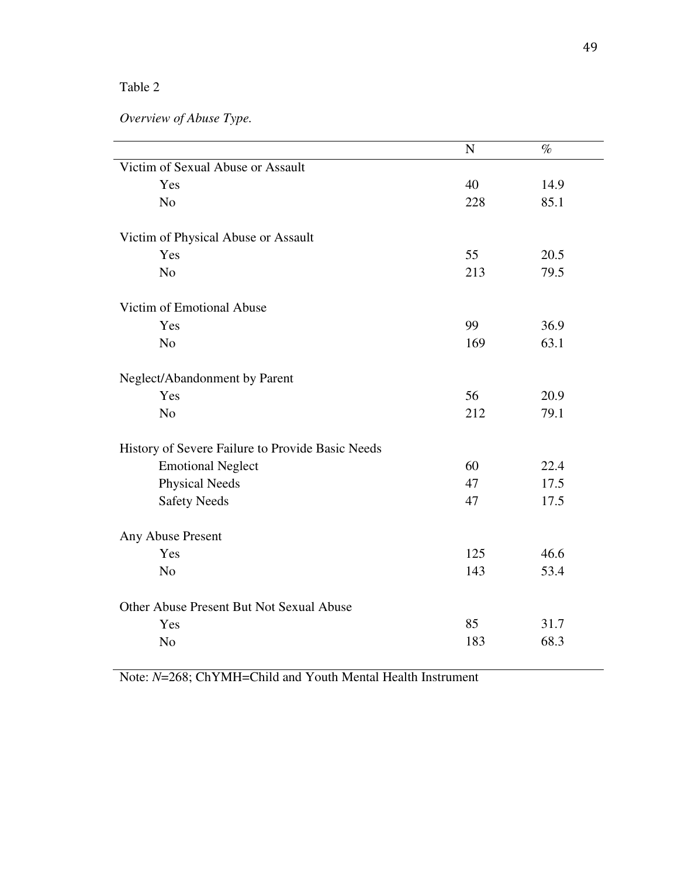*Overview of Abuse Type.* 

|                                                  | N   | $\%$ |
|--------------------------------------------------|-----|------|
| Victim of Sexual Abuse or Assault                |     |      |
| Yes                                              | 40  | 14.9 |
| N <sub>o</sub>                                   | 228 | 85.1 |
| Victim of Physical Abuse or Assault              |     |      |
| Yes                                              | 55  | 20.5 |
| N <sub>o</sub>                                   | 213 | 79.5 |
| Victim of Emotional Abuse                        |     |      |
| Yes                                              | 99  | 36.9 |
| N <sub>o</sub>                                   | 169 | 63.1 |
| Neglect/Abandonment by Parent                    |     |      |
| Yes                                              | 56  | 20.9 |
| N <sub>o</sub>                                   | 212 | 79.1 |
| History of Severe Failure to Provide Basic Needs |     |      |
| <b>Emotional Neglect</b>                         | 60  | 22.4 |
| <b>Physical Needs</b>                            | 47  | 17.5 |
| <b>Safety Needs</b>                              | 47  | 17.5 |
| Any Abuse Present                                |     |      |
| Yes                                              | 125 | 46.6 |
| N <sub>o</sub>                                   | 143 | 53.4 |
| Other Abuse Present But Not Sexual Abuse         |     |      |
| Yes                                              | 85  | 31.7 |
| N <sub>o</sub>                                   | 183 | 68.3 |
|                                                  |     |      |

Note: *N*=268; ChYMH=Child and Youth Mental Health Instrument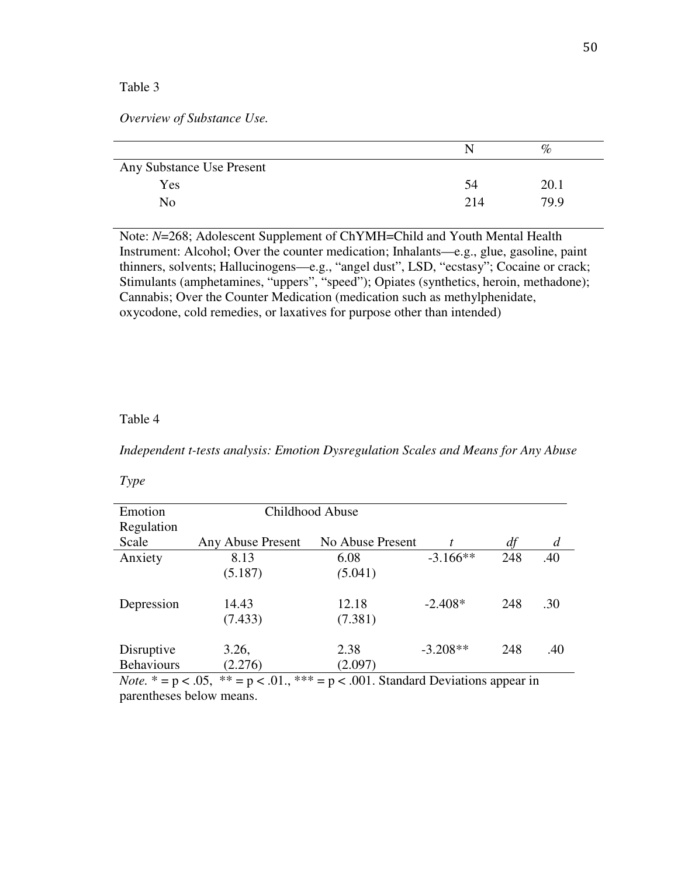*Overview of Substance Use.* 

|                           | N   | $\%$ |  |
|---------------------------|-----|------|--|
| Any Substance Use Present |     |      |  |
| Yes                       | 54  | 20.1 |  |
| No                        | 214 | 79.9 |  |

Note: *N*=268; Adolescent Supplement of ChYMH=Child and Youth Mental Health Instrument: Alcohol; Over the counter medication; Inhalants—e.g., glue, gasoline, paint thinners, solvents; Hallucinogens—e.g., "angel dust", LSD, "ecstasy"; Cocaine or crack; Stimulants (amphetamines, "uppers", "speed"); Opiates (synthetics, heroin, methadone); Cannabis; Over the Counter Medication (medication such as methylphenidate, oxycodone, cold remedies, or laxatives for purpose other than intended)

#### Table 4

*Independent t-tests analysis: Emotion Dysregulation Scales and Means for Any Abuse* 

*Type* 

| Emotion                              | Childhood Abuse   |                                                |            |     |                |
|--------------------------------------|-------------------|------------------------------------------------|------------|-----|----------------|
| Regulation                           |                   |                                                |            |     |                |
| Scale                                | Any Abuse Present | No Abuse Present                               |            | df  | $\overline{d}$ |
| Anxiety                              | 8.13              | 6.08                                           | $-3.166**$ | 248 | .40            |
|                                      | (5.187)           | (5.041)                                        |            |     |                |
| Depression                           | 14.43             | 12.18                                          | $-2.408*$  | 248 | .30            |
|                                      | (7.433)           | (7.381)                                        |            |     |                |
| Disruptive                           | 3.26,             | 2.38                                           | $-3.208**$ | 248 | .40            |
| <b>Behaviours</b>                    | (2.276)           | (2.097)                                        |            |     |                |
| $N_{\alpha t\alpha} * - \alpha > 05$ | $** - 01$         | $*** - n < 0.01$ Standard Davistions appear in |            |     |                |

*Note.*  $* = p < .05$ ,  $* = p < .01$ ,  $* = p < .001$ . Standard Deviations appear in parentheses below means.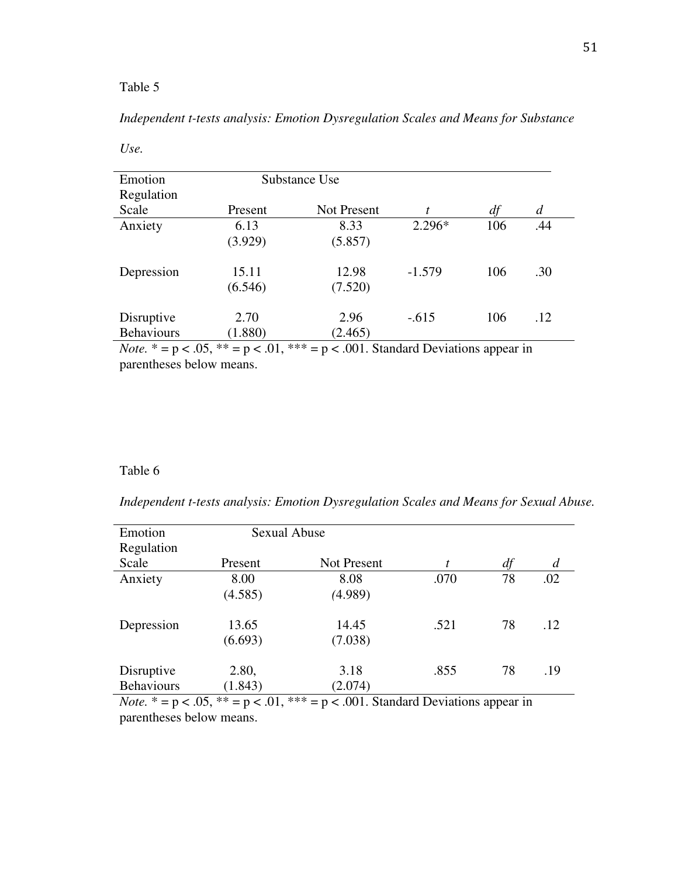*Use.* 

# *Independent t-tests analysis: Emotion Dysregulation Scales and Means for Substance*

51

| Emotion           | Substance Use |                    |          |     |     |
|-------------------|---------------|--------------------|----------|-----|-----|
| Regulation        |               |                    |          |     |     |
| Scale             | Present       | <b>Not Present</b> | t        | df  | d   |
| Anxiety           | 6.13          | 8.33               | $2.296*$ | 106 | .44 |
|                   | (3.929)       | (5.857)            |          |     |     |
| Depression        | 15.11         | 12.98              | $-1.579$ | 106 | .30 |
|                   | (6.546)       | (7.520)            |          |     |     |
| Disruptive        | 2.70          | 2.96               | $-.615$  | 106 | .12 |
| <b>Behaviours</b> | (1.880)       | (2.465)            |          |     |     |

*Note.*  $* = p < .05$ ,  $** = p < .01$ ,  $** = p < .001$ . Standard Deviations appear in parentheses below means.

# Table 6

|  | Independent t-tests analysis: Emotion Dysregulation Scales and Means for Sexual Abuse. |
|--|----------------------------------------------------------------------------------------|
|  |                                                                                        |

| Emotion           | <b>Sexual Abuse</b>  |                      |      |    |                |
|-------------------|----------------------|----------------------|------|----|----------------|
| Regulation        |                      |                      |      |    |                |
| Scale             | Present              | Not Present          | t    | df | $\overline{d}$ |
| Anxiety           | 8.00                 | 8.08                 | .070 | 78 | .02            |
|                   | (4.585)              | (4.989)              |      |    |                |
| Depression        | 13.65                | 14.45                | .521 | 78 | .12            |
|                   | (6.693)              | (7.038)              |      |    |                |
| Disruptive        | 2.80,                | 3.18                 | .855 | 78 | .19            |
| <b>Behaviours</b> | (1.843)              | (2.074)              |      |    |                |
|                   | $\sim$ $-$<br>.<br>. | $\sim$ $\sim$ $\sim$ | .    |    |                |

*Note.*  $* = p < .05$ ,  $** = p < .01$ ,  $** = p < .001$ . Standard Deviations appear in parentheses below means.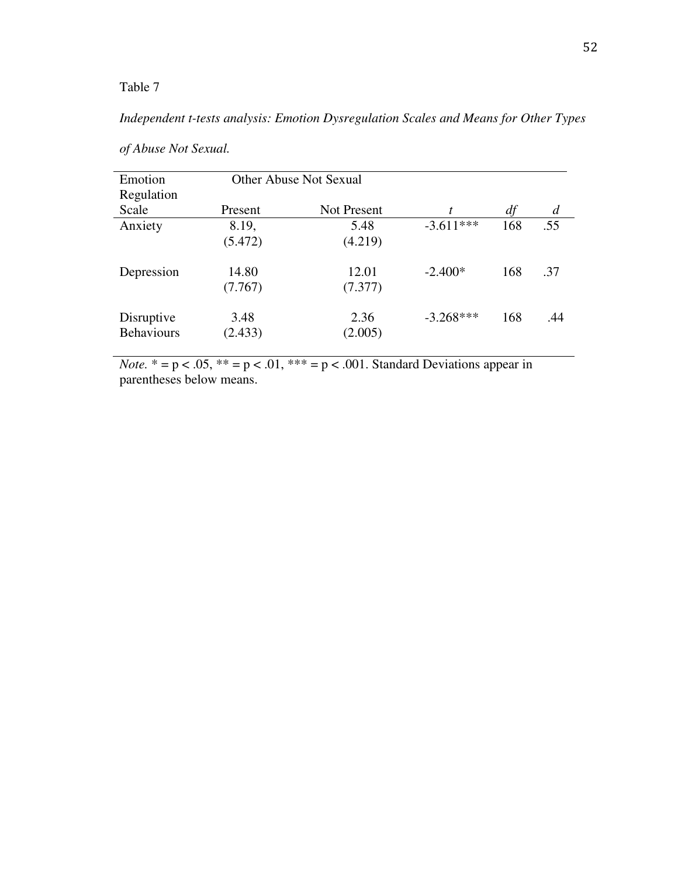# *Independent t-tests analysis: Emotion Dysregulation Scales and Means for Other Types*

| Emotion<br>Regulation           |                  | <b>Other Abuse Not Sexual</b> |             |     |                |
|---------------------------------|------------------|-------------------------------|-------------|-----|----------------|
| Scale                           | Present          | Not Present                   | t           | df  | $\overline{d}$ |
| Anxiety                         | 8.19,<br>(5.472) | 5.48<br>(4.219)               | $-3.611***$ | 168 | .55            |
| Depression                      | 14.80<br>(7.767) | 12.01<br>(7.377)              | $-2.400*$   | 168 | .37            |
| Disruptive<br><b>Behaviours</b> | 3.48<br>(2.433)  | 2.36<br>(2.005)               | $-3.268***$ | 168 | .44            |

*of Abuse Not Sexual.* 

*Note.*  $* = p < .05$ ,  $** = p < .01$ ,  $** = p < .001$ . Standard Deviations appear in parentheses below means.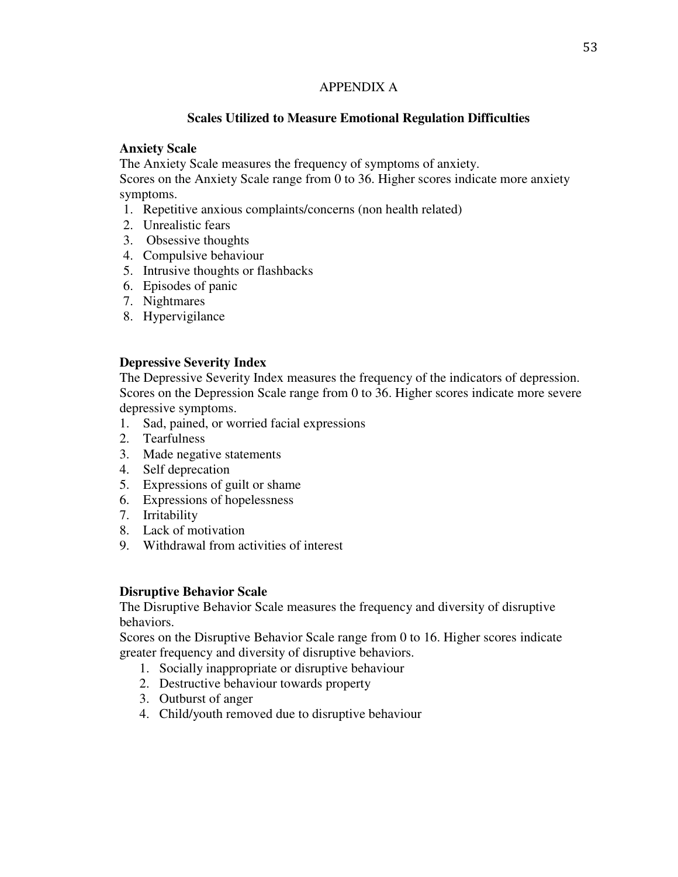### APPENDIX A

## **Scales Utilized to Measure Emotional Regulation Difficulties**

### **Anxiety Scale**

The Anxiety Scale measures the frequency of symptoms of anxiety.

Scores on the Anxiety Scale range from 0 to 36. Higher scores indicate more anxiety symptoms.

- 1. Repetitive anxious complaints/concerns (non health related)
- 2. Unrealistic fears
- 3. Obsessive thoughts
- 4. Compulsive behaviour
- 5. Intrusive thoughts or flashbacks
- 6. Episodes of panic
- 7. Nightmares
- 8. Hypervigilance

### **Depressive Severity Index**

The Depressive Severity Index measures the frequency of the indicators of depression. Scores on the Depression Scale range from 0 to 36. Higher scores indicate more severe depressive symptoms.

- 1. Sad, pained, or worried facial expressions
- 2. Tearfulness
- 3. Made negative statements
- 4. Self deprecation
- 5. Expressions of guilt or shame
- 6. Expressions of hopelessness
- 7. Irritability
- 8. Lack of motivation
- 9. Withdrawal from activities of interest

### **Disruptive Behavior Scale**

The Disruptive Behavior Scale measures the frequency and diversity of disruptive behaviors.

Scores on the Disruptive Behavior Scale range from 0 to 16. Higher scores indicate greater frequency and diversity of disruptive behaviors.

- 1. Socially inappropriate or disruptive behaviour
- 2. Destructive behaviour towards property
- 3. Outburst of anger
- 4. Child/youth removed due to disruptive behaviour